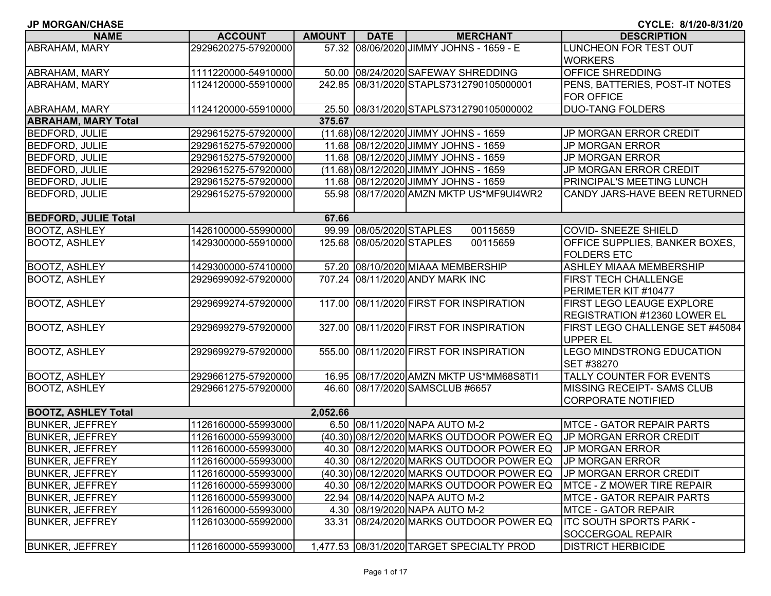| <b>JP MORGAN/CHASE</b>      |                     |               |                           |                                           | CYCLE: 8/1/20-8/31/20                                                   |
|-----------------------------|---------------------|---------------|---------------------------|-------------------------------------------|-------------------------------------------------------------------------|
| <b>NAME</b>                 | <b>ACCOUNT</b>      | <b>AMOUNT</b> | <b>DATE</b>               | <b>MERCHANT</b>                           | <b>DESCRIPTION</b>                                                      |
| ABRAHAM, MARY               | 2929620275-57920000 |               |                           | 57.32 08/06/2020 JIMMY JOHNS - 1659 - E   | LUNCHEON FOR TEST OUT<br><b>WORKERS</b>                                 |
| ABRAHAM, MARY               | 1111220000-54910000 |               |                           | 50.00 08/24/2020 SAFEWAY SHREDDING        | <b>OFFICE SHREDDING</b>                                                 |
| ABRAHAM, MARY               | 1124120000-55910000 |               |                           | 242.85 08/31/2020 STAPLS7312790105000001  | PENS, BATTERIES, POST-IT NOTES<br><b>FOR OFFICE</b>                     |
| ABRAHAM, MARY               | 1124120000-55910000 |               |                           | 25.50 08/31/2020 STAPLS7312790105000002   | <b>DUO-TANG FOLDERS</b>                                                 |
| <b>ABRAHAM, MARY Total</b>  |                     | 375.67        |                           |                                           |                                                                         |
| <b>BEDFORD, JULIE</b>       | 2929615275-57920000 |               |                           | (11.68) 08/12/2020 JIMMY JOHNS - 1659     | <b>JP MORGAN ERROR CREDIT</b>                                           |
| <b>BEDFORD, JULIE</b>       | 2929615275-57920000 |               |                           | 11.68 08/12/2020 JIMMY JOHNS - 1659       | <b>JP MORGAN ERROR</b>                                                  |
| <b>BEDFORD, JULIE</b>       | 2929615275-57920000 |               |                           | 11.68 08/12/2020 JIMMY JOHNS - 1659       | <b>JP MORGAN ERROR</b>                                                  |
| <b>BEDFORD, JULIE</b>       | 2929615275-57920000 |               |                           | (11.68) 08/12/2020 JIMMY JOHNS - 1659     | JP MORGAN ERROR CREDIT                                                  |
| <b>BEDFORD, JULIE</b>       | 2929615275-57920000 |               |                           | 11.68 08/12/2020 JIMMY JOHNS - 1659       | PRINCIPAL'S MEETING LUNCH                                               |
| <b>BEDFORD, JULIE</b>       | 2929615275-57920000 |               |                           | 55.98 08/17/2020 AMZN MKTP US*MF9UI4WR2   | CANDY JARS-HAVE BEEN RETURNED                                           |
| <b>BEDFORD, JULIE Total</b> |                     | 67.66         |                           |                                           |                                                                         |
| <b>BOOTZ, ASHLEY</b>        | 1426100000-55990000 |               | 99.99 08/05/2020 STAPLES  | 00115659                                  | COVID- SNEEZE SHIELD                                                    |
| <b>BOOTZ, ASHLEY</b>        | 1429300000-55910000 |               | 125.68 08/05/2020 STAPLES | 00115659                                  | OFFICE SUPPLIES, BANKER BOXES,<br><b>FOLDERS ETC</b>                    |
| <b>BOOTZ, ASHLEY</b>        | 1429300000-57410000 |               |                           | 57.20 08/10/2020 MIAAA MEMBERSHIP         | <b>ASHLEY MIAAA MEMBERSHIP</b>                                          |
| <b>BOOTZ, ASHLEY</b>        | 2929699092-57920000 |               |                           | 707.24 08/11/2020 ANDY MARK INC           | <b>FIRST TECH CHALLENGE</b>                                             |
|                             |                     |               |                           |                                           | PERIMETER KIT #10477                                                    |
| <b>BOOTZ, ASHLEY</b>        | 2929699274-57920000 |               |                           | 117.00 08/11/2020 FIRST FOR INSPIRATION   | <b>FIRST LEGO LEAUGE EXPLORE</b><br><b>REGISTRATION #12360 LOWER EL</b> |
| <b>BOOTZ, ASHLEY</b>        | 2929699279-57920000 |               |                           | 327.00 08/11/2020 FIRST FOR INSPIRATION   | FIRST LEGO CHALLENGE SET #45084<br><b>UPPER EL</b>                      |
| <b>BOOTZ, ASHLEY</b>        | 2929699279-57920000 |               |                           | 555.00 08/11/2020 FIRST FOR INSPIRATION   | <b>LEGO MINDSTRONG EDUCATION</b><br>SET #38270                          |
| <b>BOOTZ, ASHLEY</b>        | 2929661275-57920000 |               |                           | 16.95 08/17/2020 AMZN MKTP US*MM68S8TI1   | TALLY COUNTER FOR EVENTS                                                |
| <b>BOOTZ, ASHLEY</b>        | 2929661275-57920000 |               |                           | 46.60 08/17/2020 SAMSCLUB #6657           | <b>MISSING RECEIPT- SAMS CLUB</b><br><b>CORPORATE NOTIFIED</b>          |
| <b>BOOTZ, ASHLEY Total</b>  |                     | 2,052.66      |                           |                                           |                                                                         |
| <b>BUNKER, JEFFREY</b>      | 1126160000-55993000 |               |                           | 6.50 08/11/2020 NAPA AUTO M-2             | <b>IMTCE - GATOR REPAIR PARTS</b>                                       |
| <b>BUNKER, JEFFREY</b>      | 1126160000-55993000 |               |                           | (40.30) 08/12/2020 MARKS OUTDOOR POWER EQ | JP MORGAN ERROR CREDIT                                                  |
| <b>BUNKER, JEFFREY</b>      | 1126160000-55993000 |               |                           | 40.30 08/12/2020 MARKS OUTDOOR POWER EQ   | <b>JP MORGAN ERROR</b>                                                  |
| <b>BUNKER, JEFFREY</b>      | 1126160000-55993000 |               |                           | 40.30 08/12/2020 MARKS OUTDOOR POWER EQ   | <b>JP MORGAN ERROR</b>                                                  |
| <b>BUNKER, JEFFREY</b>      | 1126160000-55993000 |               |                           | (40.30) 08/12/2020 MARKS OUTDOOR POWER EQ | JP MORGAN ERROR CREDIT                                                  |
| <b>BUNKER, JEFFREY</b>      | 1126160000-55993000 |               |                           | 40.30 08/12/2020 MARKS OUTDOOR POWER EQ   | MTCE - Z MOWER TIRE REPAIR                                              |
| <b>BUNKER, JEFFREY</b>      | 1126160000-55993000 |               |                           | 22.94 08/14/2020 NAPA AUTO M-2            | <b>MTCE - GATOR REPAIR PARTS</b>                                        |
| <b>BUNKER, JEFFREY</b>      | 1126160000-55993000 |               |                           | 4.30 08/19/2020 NAPA AUTO M-2             | <b>MTCE - GATOR REPAIR</b>                                              |
| <b>BUNKER, JEFFREY</b>      | 1126103000-55992000 |               |                           | 33.31 08/24/2020 MARKS OUTDOOR POWER EQ   | <b>ITC SOUTH SPORTS PARK -</b><br><b>SOCCERGOAL REPAIR</b>              |
| <b>BUNKER, JEFFREY</b>      | 1126160000-55993000 |               |                           | 1,477.53 08/31/2020 TARGET SPECIALTY PROD | <b>DISTRICT HERBICIDE</b>                                               |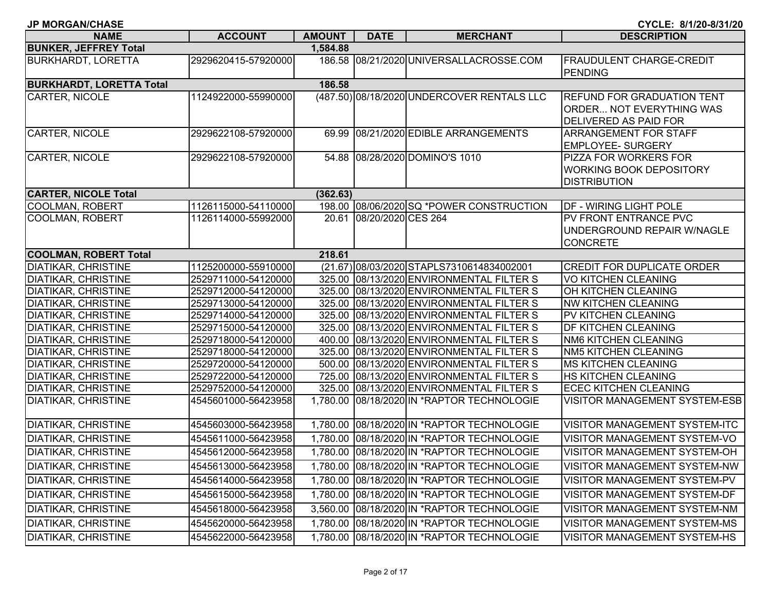| <b>JP MORGAN/CHASE</b>          |                     |               |                          |                                            | CYCLE: 8/1/20-8/31/20                |
|---------------------------------|---------------------|---------------|--------------------------|--------------------------------------------|--------------------------------------|
| <b>NAME</b>                     | <b>ACCOUNT</b>      | <b>AMOUNT</b> | <b>DATE</b>              | <b>MERCHANT</b>                            | <b>DESCRIPTION</b>                   |
| <b>BUNKER, JEFFREY Total</b>    |                     | 1,584.88      |                          |                                            |                                      |
| <b>BURKHARDT, LORETTA</b>       | 2929620415-57920000 |               |                          | 186.58 08/21/2020 UNIVERSALLACROSSE.COM    | <b>FRAUDULENT CHARGE-CREDIT</b>      |
|                                 |                     |               |                          |                                            | PENDING                              |
| <b>BURKHARDT, LORETTA Total</b> |                     | 186.58        |                          |                                            |                                      |
| <b>CARTER, NICOLE</b>           | 1124922000-55990000 |               |                          | (487.50) 08/18/2020 UNDERCOVER RENTALS LLC | <b>REFUND FOR GRADUATION TENT</b>    |
|                                 |                     |               |                          |                                            | <b>ORDER NOT EVERYTHING WAS</b>      |
|                                 |                     |               |                          |                                            | DELIVERED AS PAID FOR                |
| CARTER, NICOLE                  | 2929622108-57920000 |               |                          | 69.99 08/21/2020 EDIBLE ARRANGEMENTS       | <b>ARRANGEMENT FOR STAFF</b>         |
|                                 |                     |               |                          |                                            | <b>EMPLOYEE- SURGERY</b>             |
| CARTER, NICOLE                  | 2929622108-57920000 |               |                          | 54.88 08/28/2020 DOMINO'S 1010             | PIZZA FOR WORKERS FOR                |
|                                 |                     |               |                          |                                            | <b>WORKING BOOK DEPOSITORY</b>       |
|                                 |                     |               |                          |                                            | <b>DISTRIBUTION</b>                  |
| <b>CARTER, NICOLE Total</b>     |                     | (362.63)      |                          |                                            |                                      |
| <b>COOLMAN, ROBERT</b>          | 1126115000-54110000 |               |                          | 198.00 08/06/2020 SQ *POWER CONSTRUCTION   | <b>DF - WIRING LIGHT POLE</b>        |
| COOLMAN, ROBERT                 | 1126114000-55992000 |               | 20.61 08/20/2020 CES 264 |                                            | PV FRONT ENTRANCE PVC                |
|                                 |                     |               |                          |                                            | UNDERGROUND REPAIR W/NAGLE           |
| <b>COOLMAN, ROBERT Total</b>    |                     | 218.61        |                          |                                            | <b>CONCRETE</b>                      |
| <b>DIATIKAR, CHRISTINE</b>      | 1125200000-55910000 |               |                          | (21.67) 08/03/2020 STAPLS7310614834002001  | <b>CREDIT FOR DUPLICATE ORDER</b>    |
| <b>DIATIKAR, CHRISTINE</b>      | 2529711000-54120000 |               |                          | 325.00 08/13/2020 ENVIRONMENTAL FILTER S   | <b>VO KITCHEN CLEANING</b>           |
| <b>DIATIKAR, CHRISTINE</b>      | 2529712000-54120000 |               |                          | 325.00 08/13/2020 ENVIRONMENTAL FILTER S   | OH KITCHEN CLEANING                  |
| <b>DIATIKAR, CHRISTINE</b>      | 2529713000-54120000 |               |                          | 325.00 08/13/2020 ENVIRONMENTAL FILTER S   | <b>NW KITCHEN CLEANING</b>           |
| <b>DIATIKAR, CHRISTINE</b>      | 2529714000-54120000 |               |                          | 325.00 08/13/2020 ENVIRONMENTAL FILTER S   | PV KITCHEN CLEANING                  |
| <b>DIATIKAR, CHRISTINE</b>      | 2529715000-54120000 |               |                          | 325.00 08/13/2020 ENVIRONMENTAL FILTER S   | DF KITCHEN CLEANING                  |
| <b>DIATIKAR, CHRISTINE</b>      | 2529718000-54120000 |               |                          | 400.00 08/13/2020 ENVIRONMENTAL FILTER S   | <b>NM6 KITCHEN CLEANING</b>          |
| <b>DIATIKAR, CHRISTINE</b>      | 2529718000-54120000 |               |                          | 325.00 08/13/2020 ENVIRONMENTAL FILTER S   | <b>NM5 KITCHEN CLEANING</b>          |
| <b>DIATIKAR, CHRISTINE</b>      | 2529720000-54120000 |               |                          | 500.00 08/13/2020 ENVIRONMENTAL FILTER S   | <b>MS KITCHEN CLEANING</b>           |
| <b>DIATIKAR, CHRISTINE</b>      | 2529722000-54120000 |               |                          | 725.00 08/13/2020 ENVIRONMENTAL FILTER S   | <b>HS KITCHEN CLEANING</b>           |
| <b>DIATIKAR, CHRISTINE</b>      | 2529752000-54120000 |               |                          | 325.00 08/13/2020 ENVIRONMENTAL FILTER S   | <b>ECEC KITCHEN CLEANING</b>         |
| <b>DIATIKAR, CHRISTINE</b>      | 4545601000-56423958 |               |                          | 1,780.00 08/18/2020 IN *RAPTOR TECHNOLOGIE | <b>VISITOR MANAGEMENT SYSTEM-ESB</b> |
| <b>DIATIKAR, CHRISTINE</b>      | 4545603000-56423958 |               |                          | 1,780.00 08/18/2020 IN *RAPTOR TECHNOLOGIE | VISITOR MANAGEMENT SYSTEM-ITC        |
| <b>DIATIKAR, CHRISTINE</b>      | 4545611000-56423958 |               |                          | 1,780.00 08/18/2020 IN *RAPTOR TECHNOLOGIE | VISITOR MANAGEMENT SYSTEM-VO         |
| DIATIKAR, CHRISTINE             | 4545612000-56423958 |               |                          | 1,780.00 08/18/2020 IN *RAPTOR TECHNOLOGIE | VISITOR MANAGEMENT SYSTEM-OH         |
| <b>DIATIKAR, CHRISTINE</b>      | 4545613000-56423958 |               |                          | 1,780.00 08/18/2020 IN *RAPTOR TECHNOLOGIE | VISITOR MANAGEMENT SYSTEM-NW         |
| <b>DIATIKAR, CHRISTINE</b>      | 4545614000-56423958 |               |                          | 1,780.00 08/18/2020 IN *RAPTOR TECHNOLOGIE | <b>VISITOR MANAGEMENT SYSTEM-PV</b>  |
| <b>DIATIKAR, CHRISTINE</b>      | 4545615000-56423958 |               |                          | 1,780.00 08/18/2020 IN *RAPTOR TECHNOLOGIE | <b>VISITOR MANAGEMENT SYSTEM-DF</b>  |
| <b>DIATIKAR, CHRISTINE</b>      | 4545618000-56423958 |               |                          | 3,560.00 08/18/2020 IN *RAPTOR TECHNOLOGIE | VISITOR MANAGEMENT SYSTEM-NM         |
| <b>DIATIKAR, CHRISTINE</b>      | 4545620000-56423958 |               |                          | 1,780.00 08/18/2020 IN *RAPTOR TECHNOLOGIE | VISITOR MANAGEMENT SYSTEM-MS         |
| <b>DIATIKAR, CHRISTINE</b>      | 4545622000-56423958 |               |                          | 1,780.00 08/18/2020 IN *RAPTOR TECHNOLOGIE | VISITOR MANAGEMENT SYSTEM-HS         |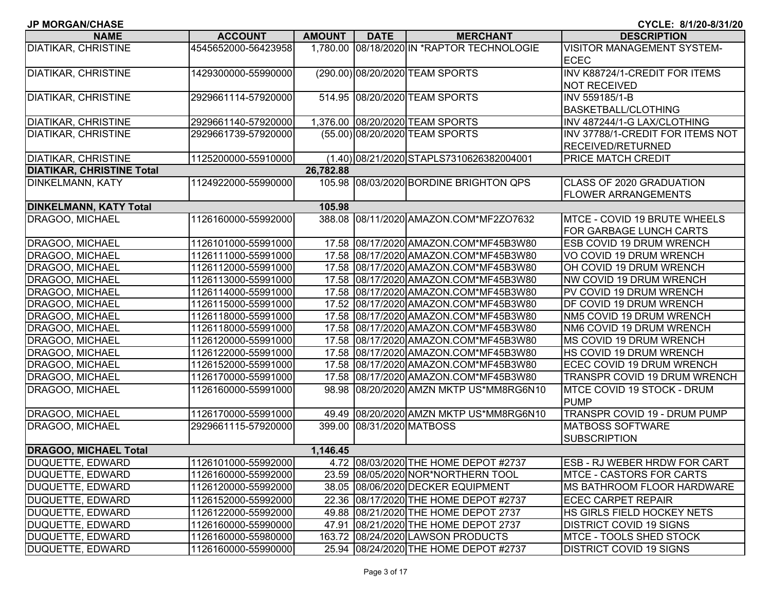| DIATIKAR, CHRISTINE          | 4545652000-56423958 |           |                           | 1,780.00 08/18/2020 IN *RAPTOR TECHNOLOGIE | <b>VISITOR MANAGEMENT SYSTEM-</b><br><b>ECEC</b> |
|------------------------------|---------------------|-----------|---------------------------|--------------------------------------------|--------------------------------------------------|
|                              |                     |           |                           |                                            |                                                  |
| <b>DIATIKAR, CHRISTINE</b>   | 1429300000-55990000 |           |                           | (290.00) 08/20/2020 TEAM SPORTS            | INV K88724/1-CREDIT FOR ITEMS                    |
|                              |                     |           |                           |                                            | <b>NOT RECEIVED</b>                              |
| DIATIKAR, CHRISTINE          | 2929661114-57920000 |           |                           | 514.95 08/20/2020 TEAM SPORTS              | INV 559185/1-B                                   |
|                              |                     |           |                           |                                            | <b>BASKETBALL/CLOTHING</b>                       |
| DIATIKAR, CHRISTINE          | 2929661140-57920000 |           |                           | 1,376.00 08/20/2020 TEAM SPORTS            | INV 487244/1-G LAX/CLOTHING                      |
| DIATIKAR, CHRISTINE          | 2929661739-57920000 |           |                           | (55.00) 08/20/2020 TEAM SPORTS             | INV 37788/1-CREDIT FOR ITEMS NOT                 |
|                              |                     |           |                           |                                            | RECEIVED/RETURNED                                |
| DIATIKAR, CHRISTINE          | 1125200000-55910000 |           |                           | (1.40) 08/21/2020 STAPLS7310626382004001   | PRICE MATCH CREDIT                               |
| DIATIKAR, CHRISTINE Total    |                     | 26,782.88 |                           |                                            |                                                  |
| DINKELMANN, KATY             | 1124922000-55990000 |           |                           | 105.98 08/03/2020 BORDINE BRIGHTON QPS     | CLASS OF 2020 GRADUATION                         |
|                              |                     |           |                           |                                            | <b>FLOWER ARRANGEMENTS</b>                       |
| DINKELMANN, KATY Total       |                     | 105.98    |                           |                                            |                                                  |
| DRAGOO, MICHAEL              | 1126160000-55992000 |           |                           | 388.08 08/11/2020 AMAZON.COM*MF2ZO7632     | MTCE - COVID 19 BRUTE WHEELS                     |
|                              |                     |           |                           |                                            | FOR GARBAGE LUNCH CARTS                          |
| DRAGOO, MICHAEL              | 1126101000-55991000 |           |                           | 17.58 08/17/2020 AMAZON.COM*MF45B3W80      | ESB COVID 19 DRUM WRENCH                         |
| DRAGOO, MICHAEL              | 1126111000-55991000 |           |                           | 17.58 08/17/2020 AMAZON.COM*MF45B3W80      | VO COVID 19 DRUM WRENCH                          |
| DRAGOO, MICHAEL              | 1126112000-55991000 |           |                           | 17.58 08/17/2020 AMAZON.COM*MF45B3W80      | OH COVID 19 DRUM WRENCH                          |
| DRAGOO, MICHAEL              | 1126113000-55991000 |           |                           | 17.58 08/17/2020 AMAZON.COM*MF45B3W80      | NW COVID 19 DRUM WRENCH                          |
| DRAGOO, MICHAEL              | 1126114000-55991000 |           |                           | 17.58 08/17/2020 AMAZON.COM*MF45B3W80      | PV COVID 19 DRUM WRENCH                          |
| DRAGOO, MICHAEL              | 1126115000-55991000 |           |                           | 17.52 08/17/2020 AMAZON.COM*MF45B3W80      | DF COVID 19 DRUM WRENCH                          |
| DRAGOO, MICHAEL              | 1126118000-55991000 |           |                           | 17.58 08/17/2020 AMAZON.COM*MF45B3W80      | NM5 COVID 19 DRUM WRENCH                         |
| DRAGOO, MICHAEL              | 1126118000-55991000 |           |                           | 17.58 08/17/2020 AMAZON.COM*MF45B3W80      | NM6 COVID 19 DRUM WRENCH                         |
| DRAGOO, MICHAEL              | 1126120000-55991000 |           |                           | 17.58 08/17/2020 AMAZON.COM*MF45B3W80      | MS COVID 19 DRUM WRENCH                          |
| DRAGOO, MICHAEL              | 1126122000-55991000 |           |                           | 17.58 08/17/2020 AMAZON.COM*MF45B3W80      | HS COVID 19 DRUM WRENCH                          |
| DRAGOO, MICHAEL              | 1126152000-55991000 |           |                           | 17.58 08/17/2020 AMAZON.COM*MF45B3W80      | ECEC COVID 19 DRUM WRENCH                        |
| DRAGOO, MICHAEL              | 1126170000-55991000 |           |                           | 17.58 08/17/2020 AMAZON.COM*MF45B3W80      | TRANSPR COVID 19 DRUM WRENCH                     |
| DRAGOO, MICHAEL              | 1126160000-55991000 |           |                           | 98.98 08/20/2020 AMZN MKTP US*MM8RG6N10    | MTCE COVID 19 STOCK - DRUM                       |
|                              |                     |           |                           |                                            | <b>PUMP</b>                                      |
| DRAGOO, MICHAEL              | 1126170000-55991000 |           |                           | 49.49 08/20/2020 AMZN MKTP US*MM8RG6N10    | TRANSPR COVID 19 - DRUM PUMP                     |
| DRAGOO, MICHAEL              | 2929661115-57920000 |           | 399.00 08/31/2020 MATBOSS |                                            | <b>MATBOSS SOFTWARE</b>                          |
|                              |                     |           |                           |                                            | <b>SUBSCRIPTION</b>                              |
| <b>DRAGOO, MICHAEL Total</b> |                     | 1,146.45  |                           |                                            |                                                  |
| DUQUETTE, EDWARD             | 1126101000-55992000 |           |                           | 4.72 08/03/2020 THE HOME DEPOT #2737       | ESB - RJ WEBER HRDW FOR CART                     |
| DUQUETTE, EDWARD             | 1126160000-55992000 |           |                           | 23.59 08/05/2020 NOR*NORTHERN TOOL         | <b>MTCE - CASTORS FOR CARTS</b>                  |
| DUQUETTE, EDWARD             | 1126120000-55992000 |           |                           | 38.05 08/06/2020 DECKER EQUIPMENT          | MS BATHROOM FLOOR HARDWARE                       |
| DUQUETTE, EDWARD             | 1126152000-55992000 |           |                           | 22.36 08/17/2020 THE HOME DEPOT #2737      | <b>ECEC CARPET REPAIR</b>                        |
| DUQUETTE, EDWARD             | 1126122000-55992000 |           |                           | 49.88 08/21/2020 THE HOME DEPOT 2737       | HS GIRLS FIELD HOCKEY NETS                       |
| DUQUETTE, EDWARD             | 1126160000-55990000 |           |                           | 47.91 08/21/2020 THE HOME DEPOT 2737       | <b>DISTRICT COVID 19 SIGNS</b>                   |
| DUQUETTE, EDWARD             | 1126160000-55980000 |           |                           | 163.72 08/24/2020 LAWSON PRODUCTS          | MTCE - TOOLS SHED STOCK                          |
|                              |                     |           |                           |                                            |                                                  |

**NAME ACCOUNT AMOUNT DATE MERCHANT DESCRIPTION**

**CYCLE: 8/1/20-8/31/20**

**JP MORGAN/CHASE**

DUQUETTE, EDWARD 1126160000-55990000 25.94 08/24/2020 THE HOME DEPOT #2737 DISTRICT COVID 19 SIGNS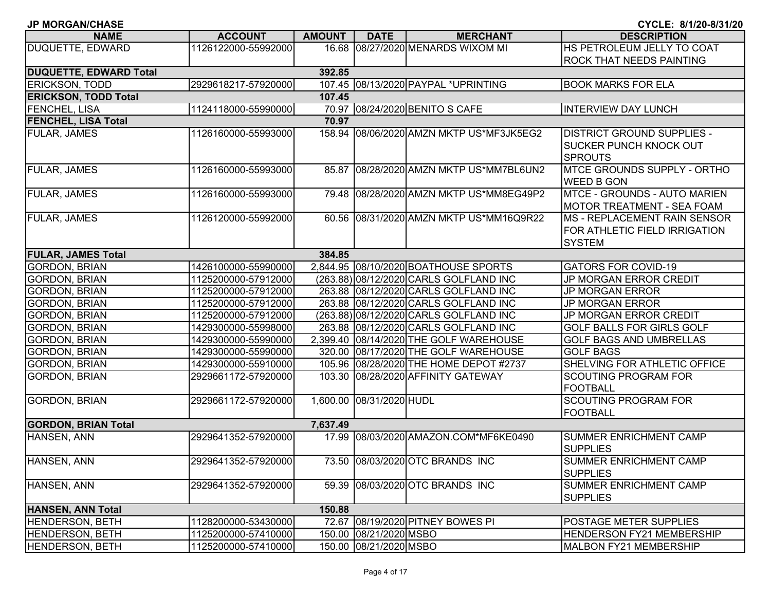| <b>JP MORGAN/CHASE</b>        |                     |               |                          |                                          | CYCLE: 8/1/20-8/31/20               |
|-------------------------------|---------------------|---------------|--------------------------|------------------------------------------|-------------------------------------|
| <b>NAME</b>                   | <b>ACCOUNT</b>      | <b>AMOUNT</b> | <b>DATE</b>              | <b>MERCHANT</b>                          | <b>DESCRIPTION</b>                  |
| DUQUETTE, EDWARD              | 1126122000-55992000 |               |                          | 16.68 08/27/2020 MENARDS WIXOM MI        | HS PETROLEUM JELLY TO COAT          |
|                               |                     |               |                          |                                          | <b>ROCK THAT NEEDS PAINTING</b>     |
| <b>DUQUETTE, EDWARD Total</b> |                     | 392.85        |                          |                                          |                                     |
| ERICKSON, TODD                | 2929618217-57920000 |               |                          | 107.45 08/13/2020 PAYPAL *UPRINTING      | <b>BOOK MARKS FOR ELA</b>           |
| <b>ERICKSON, TODD Total</b>   |                     | 107.45        |                          |                                          |                                     |
| FENCHEL, LISA                 | 1124118000-55990000 |               |                          | 70.97 08/24/2020 BENITO S CAFE           | <b>INTERVIEW DAY LUNCH</b>          |
| <b>FENCHEL, LISA Total</b>    |                     | 70.97         |                          |                                          |                                     |
| FULAR, JAMES                  | 1126160000-55993000 |               |                          | 158.94 08/06/2020 AMZN MKTP US*MF3JK5EG2 | <b>DISTRICT GROUND SUPPLIES -</b>   |
|                               |                     |               |                          |                                          | <b>SUCKER PUNCH KNOCK OUT</b>       |
|                               |                     |               |                          |                                          | <b>SPROUTS</b>                      |
| <b>FULAR, JAMES</b>           | 1126160000-55993000 |               |                          | 85.87 08/28/2020 AMZN MKTP US*MM7BL6UN2  | <b>IMTCE GROUNDS SUPPLY - ORTHO</b> |
|                               |                     |               |                          |                                          | <b>WEED B GON</b>                   |
| <b>FULAR, JAMES</b>           | 1126160000-55993000 |               |                          | 79.48 08/28/2020 AMZN MKTP US*MM8EG49P2  | <b>MTCE - GROUNDS - AUTO MARIEN</b> |
|                               |                     |               |                          |                                          | <b>MOTOR TREATMENT - SEA FOAM</b>   |
| FULAR, JAMES                  | 1126120000-55992000 |               |                          | 60.56 08/31/2020 AMZN MKTP US*MM16Q9R22  | <b>MS - REPLACEMENT RAIN SENSOR</b> |
|                               |                     |               |                          |                                          | FOR ATHLETIC FIELD IRRIGATION       |
|                               |                     |               |                          |                                          | <b>SYSTEM</b>                       |
| <b>FULAR, JAMES Total</b>     |                     | 384.85        |                          |                                          |                                     |
| <b>GORDON, BRIAN</b>          | 1426100000-55990000 |               |                          | 2,844.95 08/10/2020 BOATHOUSE SPORTS     | <b>GATORS FOR COVID-19</b>          |
| <b>GORDON, BRIAN</b>          | 1125200000-57912000 |               |                          | (263.88) 08/12/2020 CARLS GOLFLAND INC   | JP MORGAN ERROR CREDIT              |
| <b>GORDON, BRIAN</b>          | 1125200000-57912000 |               |                          | 263.88 08/12/2020 CARLS GOLFLAND INC     | <b>JP MORGAN ERROR</b>              |
| <b>GORDON, BRIAN</b>          | 1125200000-57912000 |               |                          | 263.88 08/12/2020 CARLS GOLFLAND INC     | <b>JP MORGAN ERROR</b>              |
| <b>GORDON, BRIAN</b>          | 1125200000-57912000 |               |                          | (263.88) 08/12/2020 CARLS GOLFLAND INC   | JP MORGAN ERROR CREDIT              |
| <b>GORDON, BRIAN</b>          | 1429300000-55998000 |               |                          | 263.88 08/12/2020 CARLS GOLFLAND INC     | <b>GOLF BALLS FOR GIRLS GOLF</b>    |
| <b>GORDON, BRIAN</b>          | 1429300000-55990000 |               |                          | 2,399.40 08/14/2020 THE GOLF WAREHOUSE   | <b>GOLF BAGS AND UMBRELLAS</b>      |
| <b>GORDON, BRIAN</b>          | 1429300000-55990000 |               |                          | 320.00 08/17/2020 THE GOLF WAREHOUSE     | <b>GOLF BAGS</b>                    |
| <b>GORDON, BRIAN</b>          | 1429300000-55910000 |               |                          | 105.96 08/28/2020 THE HOME DEPOT #2737   | SHELVING FOR ATHLETIC OFFICE        |
| <b>GORDON, BRIAN</b>          | 2929661172-57920000 |               |                          | 103.30 08/28/2020 AFFINITY GATEWAY       | <b>SCOUTING PROGRAM FOR</b>         |
|                               |                     |               |                          |                                          | <b>FOOTBALL</b>                     |
| <b>GORDON, BRIAN</b>          | 2929661172-57920000 |               | 1,600.00 08/31/2020 HUDL |                                          | <b>SCOUTING PROGRAM FOR</b>         |
|                               |                     |               |                          |                                          | <b>FOOTBALL</b>                     |
| <b>GORDON, BRIAN Total</b>    |                     | 7,637.49      |                          |                                          |                                     |
| HANSEN, ANN                   | 2929641352-57920000 |               |                          | 17.99 08/03/2020 AMAZON.COM*MF6KE0490    | <b>SUMMER ENRICHMENT CAMP</b>       |
|                               |                     |               |                          |                                          | <b>SUPPLIES</b>                     |
| HANSEN, ANN                   | 2929641352-57920000 |               |                          | 73.50 08/03/2020 OTC BRANDS INC          | <b>SUMMER ENRICHMENT CAMP</b>       |
|                               |                     |               |                          |                                          | <b>SUPPLIES</b>                     |
| HANSEN, ANN                   | 2929641352-57920000 |               |                          | 59.39 08/03/2020 OTC BRANDS INC          | <b>SUMMER ENRICHMENT CAMP</b>       |
|                               |                     |               |                          |                                          | <b>SUPPLIES</b>                     |
| <b>HANSEN, ANN Total</b>      |                     | 150.88        |                          |                                          |                                     |
| <b>HENDERSON, BETH</b>        | 1128200000-53430000 |               |                          | 72.67 08/19/2020 PITNEY BOWES PI         | <b>POSTAGE METER SUPPLIES</b>       |
| <b>HENDERSON, BETH</b>        | 1125200000-57410000 |               | 150.00 08/21/2020 MSBO   |                                          | <b>HENDERSON FY21 MEMBERSHIP</b>    |
| HENDERSON, BETH               | 1125200000-57410000 |               | 150.00 08/21/2020 MSBO   |                                          | MALBON FY21 MEMBERSHIP              |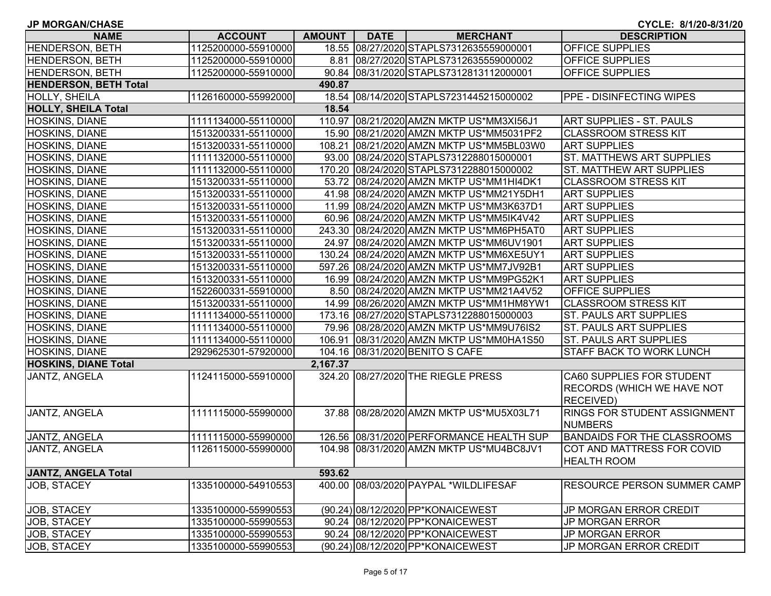| <b>JP MORGAN/CHASE</b>       |                     |               |             |                                          | CYCLE: 8/1/20-8/31/20              |
|------------------------------|---------------------|---------------|-------------|------------------------------------------|------------------------------------|
| <b>NAME</b>                  | <b>ACCOUNT</b>      | <b>AMOUNT</b> | <b>DATE</b> | <b>MERCHANT</b>                          | <b>DESCRIPTION</b>                 |
| <b>HENDERSON, BETH</b>       | 1125200000-55910000 |               |             | 18.55 08/27/2020 STAPLS7312635559000001  | <b>OFFICE SUPPLIES</b>             |
| <b>HENDERSON, BETH</b>       | 1125200000-55910000 |               |             | 8.81 08/27/2020 STAPLS7312635559000002   | <b>OFFICE SUPPLIES</b>             |
| <b>HENDERSON, BETH</b>       | 1125200000-55910000 |               |             | 90.84 08/31/2020 STAPLS7312813112000001  | OFFICE SUPPLIES                    |
| <b>HENDERSON, BETH Total</b> |                     | 490.87        |             |                                          |                                    |
| <b>HOLLY, SHEILA</b>         | 1126160000-55992000 |               |             | 18.54 08/14/2020 STAPLS7231445215000002  | <b>PPE - DISINFECTING WIPES</b>    |
| <b>HOLLY, SHEILA Total</b>   |                     | 18.54         |             |                                          |                                    |
| <b>HOSKINS, DIANE</b>        | 1111134000-55110000 |               |             | 110.97 08/21/2020 AMZN MKTP US*MM3XI56J1 | <b>ART SUPPLIES - ST. PAULS</b>    |
| HOSKINS, DIANE               | 1513200331-55110000 |               |             | 15.90 08/21/2020 AMZN MKTP US*MM5031PF2  | <b>CLASSROOM STRESS KIT</b>        |
| <b>HOSKINS, DIANE</b>        | 1513200331-55110000 |               |             | 108.21 08/21/2020 AMZN MKTP US*MM5BL03W0 | <b>ART SUPPLIES</b>                |
| <b>HOSKINS, DIANE</b>        | 1111132000-55110000 |               |             | 93.00 08/24/2020 STAPLS7312288015000001  | <b>ST. MATTHEWS ART SUPPLIES</b>   |
| <b>HOSKINS, DIANE</b>        | 1111132000-55110000 |               |             | 170.20 08/24/2020 STAPLS7312288015000002 | ST. MATTHEW ART SUPPLIES           |
| <b>HOSKINS, DIANE</b>        | 1513200331-55110000 |               |             | 53.72 08/24/2020 AMZN MKTP US*MM1HI4DK1  | <b>CLASSROOM STRESS KIT</b>        |
| <b>HOSKINS, DIANE</b>        | 1513200331-55110000 |               |             | 41.98 08/24/2020 AMZN MKTP US*MM21Y5DH1  | <b>ART SUPPLIES</b>                |
| <b>HOSKINS, DIANE</b>        | 1513200331-55110000 |               |             | 11.99 08/24/2020 AMZN MKTP US*MM3K637D1  | <b>ART SUPPLIES</b>                |
| <b>HOSKINS, DIANE</b>        | 1513200331-55110000 |               |             | 60.96 08/24/2020 AMZN MKTP US*MM5IK4V42  | <b>ART SUPPLIES</b>                |
| <b>HOSKINS, DIANE</b>        | 1513200331-55110000 |               |             | 243.30 08/24/2020 AMZN MKTP US*MM6PH5AT0 | <b>ART SUPPLIES</b>                |
| <b>HOSKINS, DIANE</b>        | 1513200331-55110000 |               |             | 24.97 08/24/2020 AMZN MKTP US*MM6UV1901  | <b>ART SUPPLIES</b>                |
| <b>HOSKINS, DIANE</b>        | 1513200331-55110000 |               |             | 130.24 08/24/2020 AMZN MKTP US*MM6XE5UY1 | <b>ART SUPPLIES</b>                |
| <b>HOSKINS, DIANE</b>        | 1513200331-55110000 |               |             | 597.26 08/24/2020 AMZN MKTP US*MM7JV92B1 | <b>ART SUPPLIES</b>                |
| <b>HOSKINS, DIANE</b>        | 1513200331-55110000 |               |             | 16.99 08/24/2020 AMZN MKTP US*MM9PG52K1  | <b>ART SUPPLIES</b>                |
| HOSKINS, DIANE               | 1522600331-55910000 |               |             | 8.50 08/24/2020 AMZN MKTP US*MM21A4V52   | OFFICE SUPPLIES                    |
| <b>HOSKINS, DIANE</b>        | 1513200331-55110000 |               |             | 14.99 08/26/2020 AMZN MKTP US*MM1HM8YW1  | <b>CLASSROOM STRESS KIT</b>        |
| <b>HOSKINS, DIANE</b>        | 1111134000-55110000 |               |             | 173.16 08/27/2020 STAPLS7312288015000003 | ST. PAULS ART SUPPLIES             |
| HOSKINS, DIANE               | 1111134000-55110000 |               |             | 79.96 08/28/2020 AMZN MKTP US*MM9U76IS2  | <b>ST. PAULS ART SUPPLIES</b>      |
| <b>HOSKINS, DIANE</b>        | 1111134000-55110000 |               |             | 106.91 08/31/2020 AMZN MKTP US*MM0HA1S50 | <b>ST. PAULS ART SUPPLIES</b>      |
| <b>HOSKINS, DIANE</b>        | 2929625301-57920000 |               |             | 104.16 08/31/2020 BENITO S CAFE          | STAFF BACK TO WORK LUNCH           |
| <b>HOSKINS, DIANE Total</b>  |                     | 2,167.37      |             |                                          |                                    |
| JANTZ, ANGELA                | 1124115000-55910000 |               |             | 324.20 08/27/2020 THE RIEGLE PRESS       | CA60 SUPPLIES FOR STUDENT          |
|                              |                     |               |             |                                          | RECORDS (WHICH WE HAVE NOT         |
|                              |                     |               |             |                                          | <b>RECEIVED)</b>                   |
| JANTZ, ANGELA                | 1111115000-55990000 |               |             | 37.88 08/28/2020 AMZN MKTP US*MU5X03L71  | RINGS FOR STUDENT ASSIGNMENT       |
|                              |                     |               |             |                                          | <b>NUMBERS</b>                     |
| JANTZ, ANGELA                | 1111115000-55990000 |               |             | 126.56 08/31/2020 PERFORMANCE HEALTH SUP | <b>BANDAIDS FOR THE CLASSROOMS</b> |
| JANTZ, ANGELA                | 1126115000-55990000 |               |             | 104.98 08/31/2020 AMZN MKTP US*MU4BC8JV1 | COT AND MATTRESS FOR COVID         |
|                              |                     |               |             |                                          | <b>HEALTH ROOM</b>                 |
| <b>JANTZ, ANGELA Total</b>   |                     | 593.62        |             |                                          |                                    |
| JOB, STACEY                  | 1335100000-54910553 | 400.00        |             | 08/03/2020 PAYPAL *WILDLIFESAF           | RESOURCE PERSON SUMMER CAMP        |
|                              |                     |               |             |                                          |                                    |
| JOB, STACEY                  | 1335100000-55990553 |               |             | (90.24) 08/12/2020 PP*KONAICEWEST        | JP MORGAN ERROR CREDIT             |
| <b>JOB, STACEY</b>           | 1335100000-55990553 |               |             | 90.24 08/12/2020 PP*KONAICEWEST          | <b>JP MORGAN ERROR</b>             |
| JOB, STACEY                  | 1335100000-55990553 |               |             | 90.24 08/12/2020 PP*KONAICEWEST          | <b>JP MORGAN ERROR</b>             |
| JOB, STACEY                  | 1335100000-55990553 |               |             | (90.24) 08/12/2020 PP*KONAICEWEST        | JP MORGAN ERROR CREDIT             |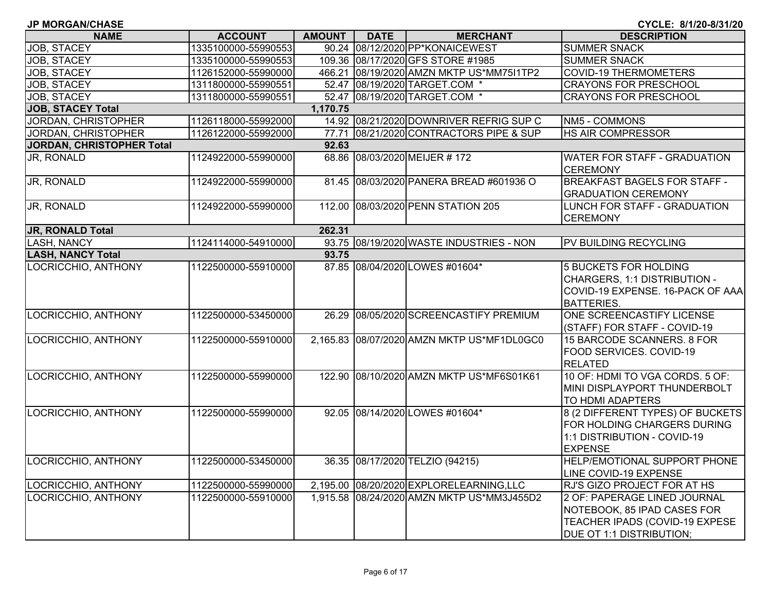| <b>JP MORGAN/CHASE</b> |  |
|------------------------|--|
|------------------------|--|

| <b>NAME</b>               | <b>ACCOUNT</b>      | <b>AMOUNT</b> | <b>DATE</b> | <b>MERCHANT</b>                            | <b>DESCRIPTION</b>                                                                                                               |
|---------------------------|---------------------|---------------|-------------|--------------------------------------------|----------------------------------------------------------------------------------------------------------------------------------|
| JOB, STACEY               | 1335100000-55990553 |               |             | 90.24 08/12/2020 PP*KONAICEWEST            | <b>SUMMER SNACK</b>                                                                                                              |
| JOB, STACEY               | 1335100000-55990553 |               |             | 109.36 08/17/2020 GFS STORE #1985          | <b>SUMMER SNACK</b>                                                                                                              |
| JOB, STACEY               | 1126152000-55990000 |               |             | 466.21 08/19/2020 AMZN MKTP US*MM75I1TP2   | <b>COVID-19 THERMOMETERS</b>                                                                                                     |
| JOB, STACEY               | 1311800000-55990551 |               |             | 52.47 08/19/2020 TARGET.COM *              | <b>CRAYONS FOR PRESCHOOL</b>                                                                                                     |
| JOB, STACEY               | 1311800000-55990551 |               |             | 52.47 08/19/2020 TARGET.COM *              | <b>CRAYONS FOR PRESCHOOL</b>                                                                                                     |
| <b>JOB, STACEY Total</b>  |                     | 1,170.75      |             |                                            |                                                                                                                                  |
| JORDAN, CHRISTOPHER       | 1126118000-55992000 |               |             | 14.92 08/21/2020 DOWNRIVER REFRIG SUP C    | NM5 - COMMONS                                                                                                                    |
| JORDAN, CHRISTOPHER       | 1126122000-55992000 | 77.71         |             | 08/21/2020 CONTRACTORS PIPE & SUP          | <b>HS AIR COMPRESSOR</b>                                                                                                         |
| JORDAN, CHRISTOPHER Total |                     | 92.63         |             |                                            |                                                                                                                                  |
| JR, RONALD                | 1124922000-55990000 |               |             | 68.86 08/03/2020 MEIJER #172               | <b>WATER FOR STAFF - GRADUATION</b><br><b>CEREMONY</b>                                                                           |
| JR, RONALD                | 1124922000-55990000 |               |             | 81.45 08/03/2020 PANERA BREAD #601936 O    | <b>BREAKFAST BAGELS FOR STAFF -</b><br><b>GRADUATION CEREMONY</b>                                                                |
| JR, RONALD                | 1124922000-55990000 |               |             | 112.00 08/03/2020 PENN STATION 205         | LUNCH FOR STAFF - GRADUATION<br><b>CEREMONY</b>                                                                                  |
| <b>JR, RONALD Total</b>   |                     | 262.31        |             |                                            |                                                                                                                                  |
| <b>LASH, NANCY</b>        | 1124114000-54910000 |               |             | 93.75 08/19/2020 WASTE INDUSTRIES - NON    | <b>PV BUILDING RECYCLING</b>                                                                                                     |
| <b>LASH, NANCY Total</b>  |                     | 93.75         |             |                                            |                                                                                                                                  |
| LOCRICCHIO, ANTHONY       | 1122500000-55910000 |               |             | 87.85 08/04/2020 LOWES #01604*             | 5 BUCKETS FOR HOLDING<br>CHARGERS, 1:1 DISTRIBUTION -<br>COVID-19 EXPENSE. 16-PACK OF AAA<br><b>BATTERIES.</b>                   |
| LOCRICCHIO, ANTHONY       | 1122500000-53450000 |               |             | 26.29 08/05/2020 SCREENCASTIFY PREMIUM     | ONE SCREENCASTIFY LICENSE<br>(STAFF) FOR STAFF - COVID-19                                                                        |
| LOCRICCHIO, ANTHONY       | 1122500000-55910000 |               |             | 2,165.83 08/07/2020 AMZN MKTP US*MF1DL0GC0 | 15 BARCODE SCANNERS. 8 FOR<br>FOOD SERVICES. COVID-19<br><b>RELATED</b>                                                          |
| LOCRICCHIO, ANTHONY       | 1122500000-55990000 |               |             | 122.90 08/10/2020 AMZN MKTP US*MF6S01K61   | 10 OF: HDMI TO VGA CORDS. 5 OF:<br>MINI DISPLAYPORT THUNDERBOLT<br><b>TO HDMI ADAPTERS</b>                                       |
| LOCRICCHIO, ANTHONY       | 1122500000-55990000 |               |             | 92.05 08/14/2020 LOWES #01604*             | 8 (2 DIFFERENT TYPES) OF BUCKETS<br>FOR HOLDING CHARGERS DURING<br>1:1 DISTRIBUTION - COVID-19<br><b>EXPENSE</b>                 |
| LOCRICCHIO, ANTHONY       | 1122500000-53450000 |               |             | 36.35 08/17/2020 TELZIO (94215)            | HELP/EMOTIONAL SUPPORT PHONE<br>LINE COVID-19 EXPENSE                                                                            |
| LOCRICCHIO, ANTHONY       | 1122500000-55990000 |               |             | 2,195.00 08/20/2020 EXPLORELEARNING, LLC   | RJ'S GIZO PROJECT FOR AT HS                                                                                                      |
| LOCRICCHIO, ANTHONY       | 1122500000-55910000 |               |             | 1,915.58 08/24/2020 AMZN MKTP US*MM3J455D2 | 2 OF: PAPERAGE LINED JOURNAL<br>NOTEBOOK, 85 IPAD CASES FOR<br>TEACHER IPADS (COVID-19 EXPESE<br><b>DUE OT 1:1 DISTRIBUTION;</b> |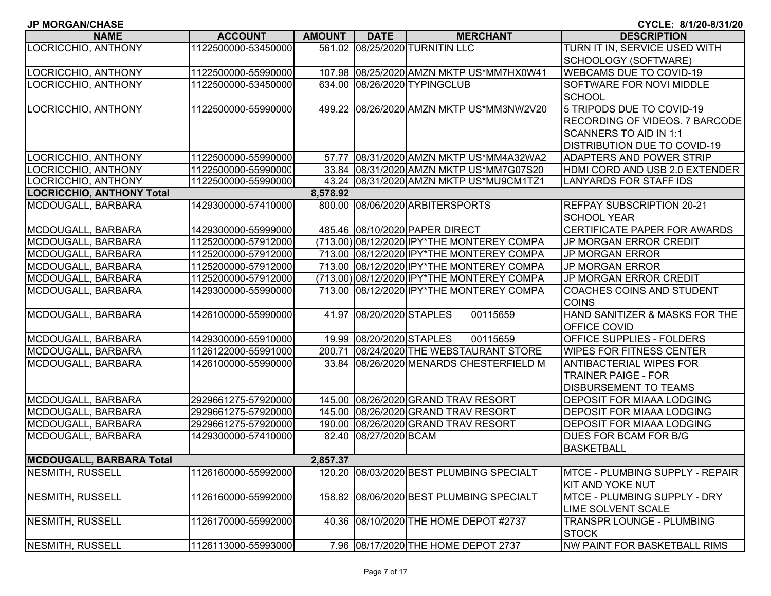|  |  | <b>JP MORGAN/CHASE</b> |  |
|--|--|------------------------|--|
|--|--|------------------------|--|

**CYCLE: 8/1/20-8/31/20**

| <b>NAME</b>                      | <b>ACCOUNT</b>      | <b>AMOUNT</b> | <b>DATE</b>              | <b>MERCHANT</b>                            | <b>DESCRIPTION</b>                      |
|----------------------------------|---------------------|---------------|--------------------------|--------------------------------------------|-----------------------------------------|
| LOCRICCHIO, ANTHONY              | 1122500000-53450000 |               |                          | 561.02 08/25/2020 TURNITIN LLC             | TURN IT IN, SERVICE USED WITH           |
|                                  |                     |               |                          |                                            | SCHOOLOGY (SOFTWARE)                    |
| LOCRICCHIO, ANTHONY              | 1122500000-55990000 |               |                          | 107.98 08/25/2020 AMZN MKTP US*MM7HX0W41   | <b>WEBCAMS DUE TO COVID-19</b>          |
| LOCRICCHIO, ANTHONY              | 1122500000-53450000 |               |                          | 634.00 08/26/2020 TYPINGCLUB               | SOFTWARE FOR NOVI MIDDLE                |
|                                  |                     |               |                          |                                            | <b>SCHOOL</b>                           |
| LOCRICCHIO, ANTHONY              | 1122500000-55990000 |               |                          | 499.22 08/26/2020 AMZN MKTP US*MM3NW2V20   | 5 TRIPODS DUE TO COVID-19               |
|                                  |                     |               |                          |                                            | <b>RECORDING OF VIDEOS. 7 BARCODE</b>   |
|                                  |                     |               |                          |                                            | <b>SCANNERS TO AID IN 1:1</b>           |
|                                  |                     |               |                          |                                            | <b>DISTRIBUTION DUE TO COVID-19</b>     |
| LOCRICCHIO, ANTHONY              | 1122500000-55990000 |               |                          | 57.77 08/31/2020 AMZN MKTP US*MM4A32WA2    | <b>ADAPTERS AND POWER STRIP</b>         |
| LOCRICCHIO, ANTHONY              | 1122500000-55990000 |               |                          | 33.84 08/31/2020 AMZN MKTP US*MM7G07S20    | HDMI CORD AND USB 2.0 EXTENDER          |
| LOCRICCHIO, ANTHONY              | 1122500000-55990000 |               |                          | 43.24 08/31/2020 AMZN MKTP US*MU9CM1TZ1    | <b>LANYARDS FOR STAFF IDS</b>           |
| <b>LOCRICCHIO, ANTHONY Total</b> |                     | 8,578.92      |                          |                                            |                                         |
| MCDOUGALL, BARBARA               | 1429300000-57410000 |               |                          | 800.00 08/06/2020 ARBITERSPORTS            | <b>REFPAY SUBSCRIPTION 20-21</b>        |
|                                  |                     |               |                          |                                            | <b>SCHOOL YEAR</b>                      |
| MCDOUGALL, BARBARA               | 1429300000-55999000 |               |                          | 485.46 08/10/2020 PAPER DIRECT             | CERTIFICATE PAPER FOR AWARDS            |
| MCDOUGALL, BARBARA               | 1125200000-57912000 |               |                          | (713.00) 08/12/2020 IPY*THE MONTEREY COMPA | <b>JP MORGAN ERROR CREDIT</b>           |
| MCDOUGALL, BARBARA               | 1125200000-57912000 |               |                          | 713.00 08/12/2020 IPY*THE MONTEREY COMPA   | <b>JP MORGAN ERROR</b>                  |
| MCDOUGALL, BARBARA               | 1125200000-57912000 |               |                          | 713.00 08/12/2020 IPY*THE MONTEREY COMPA   | <b>JP MORGAN ERROR</b>                  |
| MCDOUGALL, BARBARA               | 1125200000-57912000 |               |                          | (713.00) 08/12/2020 IPY*THE MONTEREY COMPA | JP MORGAN ERROR CREDIT                  |
| MCDOUGALL, BARBARA               | 1429300000-55990000 |               |                          | 713.00 08/12/2020 IPY*THE MONTEREY COMPA   | <b>COACHES COINS AND STUDENT</b>        |
|                                  |                     |               |                          |                                            | <b>COINS</b>                            |
| MCDOUGALL, BARBARA               | 1426100000-55990000 |               | 41.97 08/20/2020 STAPLES | 00115659                                   | HAND SANITIZER & MASKS FOR THE          |
|                                  |                     |               |                          |                                            | OFFICE COVID                            |
| MCDOUGALL, BARBARA               | 1429300000-55910000 |               | 19.99 08/20/2020 STAPLES | 00115659                                   | OFFICE SUPPLIES - FOLDERS               |
| MCDOUGALL, BARBARA               | 1126122000-55991000 |               |                          | 200.71 08/24/2020 THE WEBSTAURANT STORE    | <b>WIPES FOR FITNESS CENTER</b>         |
| MCDOUGALL, BARBARA               | 1426100000-55990000 |               |                          | 33.84 08/26/2020 MENARDS CHESTERFIELD M    | ANTIBACTERIAL WIPES FOR                 |
|                                  |                     |               |                          |                                            | <b>TRAINER PAIGE - FOR</b>              |
|                                  |                     |               |                          |                                            | <b>DISBURSEMENT TO TEAMS</b>            |
| MCDOUGALL, BARBARA               | 2929661275-57920000 |               |                          | 145.00 08/26/2020 GRAND TRAV RESORT        | <b>DEPOSIT FOR MIAAA LODGING</b>        |
| MCDOUGALL, BARBARA               | 2929661275-57920000 |               |                          | 145.00 08/26/2020 GRAND TRAV RESORT        | <b>DEPOSIT FOR MIAAA LODGING</b>        |
| MCDOUGALL, BARBARA               | 2929661275-57920000 |               |                          | 190.00 08/26/2020 GRAND TRAV RESORT        | <b>DEPOSIT FOR MIAAA LODGING</b>        |
| MCDOUGALL, BARBARA               | 1429300000-57410000 |               | 82.40 08/27/2020 BCAM    |                                            | DUES FOR BCAM FOR B/G                   |
|                                  |                     |               |                          |                                            | <b>BASKETBALL</b>                       |
| <b>MCDOUGALL, BARBARA Total</b>  |                     | 2,857.37      |                          |                                            |                                         |
| NESMITH, RUSSELL                 | 1126160000-55992000 |               |                          | 120.20 08/03/2020 BEST PLUMBING SPECIALT   | <b>IMTCE - PLUMBING SUPPLY - REPAIR</b> |
|                                  |                     |               |                          |                                            | <b>KIT AND YOKE NUT</b>                 |
| NESMITH, RUSSELL                 | 1126160000-55992000 |               |                          | 158.82 08/06/2020 BEST PLUMBING SPECIALT   | MTCE - PLUMBING SUPPLY - DRY            |
|                                  |                     |               |                          |                                            | LIME SOLVENT SCALE                      |
| NESMITH, RUSSELL                 | 1126170000-55992000 |               |                          | 40.36 08/10/2020 THE HOME DEPOT #2737      | TRANSPR LOUNGE - PLUMBING               |
|                                  |                     |               |                          |                                            | <b>STOCK</b>                            |
| <b>NESMITH, RUSSELL</b>          | 1126113000-55993000 |               |                          | 7.96 08/17/2020 THE HOME DEPOT 2737        | <b>NW PAINT FOR BASKETBALL RIMS</b>     |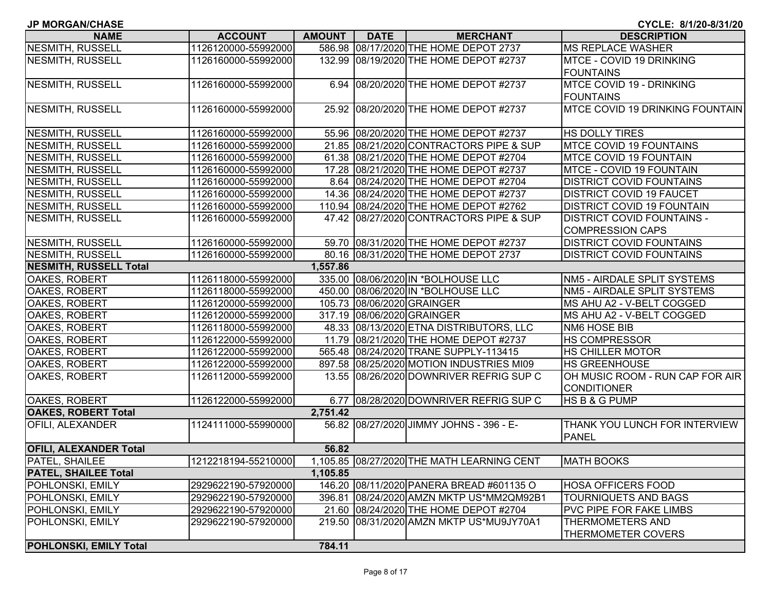| <b>JP MORGAN/CHASE</b>        |                     |               |             |                                            | CYCLE: 8/1/20-8/31/20             |
|-------------------------------|---------------------|---------------|-------------|--------------------------------------------|-----------------------------------|
| <b>NAME</b>                   | <b>ACCOUNT</b>      | <b>AMOUNT</b> | <b>DATE</b> | <b>MERCHANT</b>                            | <b>DESCRIPTION</b>                |
| <b>NESMITH, RUSSELL</b>       | 1126120000-55992000 |               |             | 586.98 08/17/2020 THE HOME DEPOT 2737      | <b>MS REPLACE WASHER</b>          |
| <b>NESMITH, RUSSELL</b>       | 1126160000-55992000 |               |             | 132.99 08/19/2020 THE HOME DEPOT #2737     | <b>MTCE - COVID 19 DRINKING</b>   |
|                               |                     |               |             |                                            | <b>FOUNTAINS</b>                  |
| <b>NESMITH, RUSSELL</b>       | 1126160000-55992000 |               |             | 6.94 08/20/2020 THE HOME DEPOT #2737       | MTCE COVID 19 - DRINKING          |
|                               |                     |               |             |                                            | <b>FOUNTAINS</b>                  |
| <b>NESMITH, RUSSELL</b>       | 1126160000-55992000 |               |             | 25.92 08/20/2020 THE HOME DEPOT #2737      | MTCE COVID 19 DRINKING FOUNTAIN   |
|                               |                     |               |             |                                            |                                   |
| NESMITH, RUSSELL              | 1126160000-55992000 |               |             | 55.96 08/20/2020 THE HOME DEPOT #2737      | HS DOLLY TIRES                    |
| NESMITH, RUSSELL              | 1126160000-55992000 |               |             | 21.85 08/21/2020 CONTRACTORS PIPE & SUP    | <b>MTCE COVID 19 FOUNTAINS</b>    |
| NESMITH, RUSSELL              | 1126160000-55992000 |               |             | 61.38 08/21/2020 THE HOME DEPOT #2704      | MTCE COVID 19 FOUNTAIN            |
| <b>NESMITH, RUSSELL</b>       | 1126160000-55992000 |               |             | 17.28 08/21/2020 THE HOME DEPOT #2737      | MTCE - COVID 19 FOUNTAIN          |
| <b>NESMITH, RUSSELL</b>       | 1126160000-55992000 |               |             | 8.64 08/24/2020 THE HOME DEPOT #2704       | <b>DISTRICT COVID FOUNTAINS</b>   |
| <b>NESMITH, RUSSELL</b>       | 1126160000-55992000 |               |             | 14.36 08/24/2020 THE HOME DEPOT #2737      | <b>DISTRICT COVID 19 FAUCET</b>   |
| <b>NESMITH, RUSSELL</b>       | 1126160000-55992000 |               |             | 110.94 08/24/2020 THE HOME DEPOT #2762     | <b>DISTRICT COVID 19 FOUNTAIN</b> |
| <b>NESMITH, RUSSELL</b>       | 1126160000-55992000 |               |             | 47.42 08/27/2020 CONTRACTORS PIPE & SUP    | <b>DISTRICT COVID FOUNTAINS -</b> |
|                               |                     |               |             |                                            | <b>COMPRESSION CAPS</b>           |
| NESMITH, RUSSELL              | 1126160000-55992000 |               |             | 59.70 08/31/2020 THE HOME DEPOT #2737      | <b>DISTRICT COVID FOUNTAINS</b>   |
| NESMITH, RUSSELL              | 1126160000-55992000 |               |             | 80.16 08/31/2020 THE HOME DEPOT 2737       | <b>DISTRICT COVID FOUNTAINS</b>   |
| <b>NESMITH, RUSSELL Total</b> |                     | 1,557.86      |             |                                            |                                   |
| OAKES, ROBERT                 | 1126118000-55992000 |               |             | 335.00 08/06/2020 IN *BOLHOUSE LLC         | NM5 - AIRDALE SPLIT SYSTEMS       |
| OAKES, ROBERT                 | 1126118000-55992000 |               |             | 450.00 08/06/2020 IN *BOLHOUSE LLC         | NM5 - AIRDALE SPLIT SYSTEMS       |
| OAKES, ROBERT                 | 1126120000-55992000 |               |             | 105.73 08/06/2020 GRAINGER                 | MS AHU A2 - V-BELT COGGED         |
| OAKES, ROBERT                 | 1126120000-55992000 |               |             | 317.19 08/06/2020 GRAINGER                 | MS AHU A2 - V-BELT COGGED         |
| OAKES, ROBERT                 | 1126118000-55992000 |               |             | 48.33 08/13/2020 ETNA DISTRIBUTORS, LLC    | NM6 HOSE BIB                      |
| OAKES, ROBERT                 | 1126122000-55992000 |               |             | 11.79 08/21/2020 THE HOME DEPOT #2737      | <b>HS COMPRESSOR</b>              |
| OAKES, ROBERT                 | 1126122000-55992000 |               |             | 565.48 08/24/2020 TRANE SUPPLY-113415      | <b>HS CHILLER MOTOR</b>           |
| OAKES, ROBERT                 | 1126122000-55992000 |               |             | 897.58 08/25/2020 MOTION INDUSTRIES MI09   | <b>HS GREENHOUSE</b>              |
| OAKES, ROBERT                 | 1126112000-55992000 |               |             | 13.55 08/26/2020 DOWNRIVER REFRIG SUP C    | OH MUSIC ROOM - RUN CAP FOR AIR   |
|                               |                     |               |             |                                            | <b>CONDITIONER</b>                |
| OAKES, ROBERT                 | 1126122000-55992000 |               |             | 6.77 08/28/2020 DOWNRIVER REFRIG SUP C     | <b>HSB&amp;GPUMP</b>              |
| <b>OAKES, ROBERT Total</b>    |                     | 2,751.42      |             |                                            |                                   |
| OFILI, ALEXANDER              | 1124111000-55990000 |               |             | 56.82 08/27/2020 JIMMY JOHNS - 396 - E-    | THANK YOU LUNCH FOR INTERVIEW     |
|                               |                     |               |             |                                            | <b>PANEL</b>                      |
| <b>OFILI, ALEXANDER Total</b> |                     | 56.82         |             |                                            |                                   |
| <b>PATEL, SHAILEE</b>         | 1212218194-55210000 |               |             | 1,105.85 08/27/2020 THE MATH LEARNING CENT | <b>MATH BOOKS</b>                 |
| <b>PATEL, SHAILEE Total</b>   |                     | 1,105.85      |             |                                            |                                   |
| POHLONSKI, EMILY              | 2929622190-57920000 |               |             | 146.20 08/11/2020 PANERA BREAD #601135 O   | <b>HOSA OFFICERS FOOD</b>         |
| POHLONSKI, EMILY              | 2929622190-57920000 |               |             | 396.81 08/24/2020 AMZN MKTP US*MM2QM92B1   | <b>TOURNIQUETS AND BAGS</b>       |
| POHLONSKI, EMILY              | 2929622190-57920000 |               |             | 21.60 08/24/2020 THE HOME DEPOT #2704      | <b>PVC PIPE FOR FAKE LIMBS</b>    |
| POHLONSKI, EMILY              | 2929622190-57920000 | 219.50        |             | 08/31/2020 AMZN MKTP US*MU9JY70A1          | THERMOMETERS AND                  |
|                               |                     |               |             |                                            | <b>THERMOMETER COVERS</b>         |
| <b>POHLONSKI, EMILY Total</b> |                     | 784.11        |             |                                            |                                   |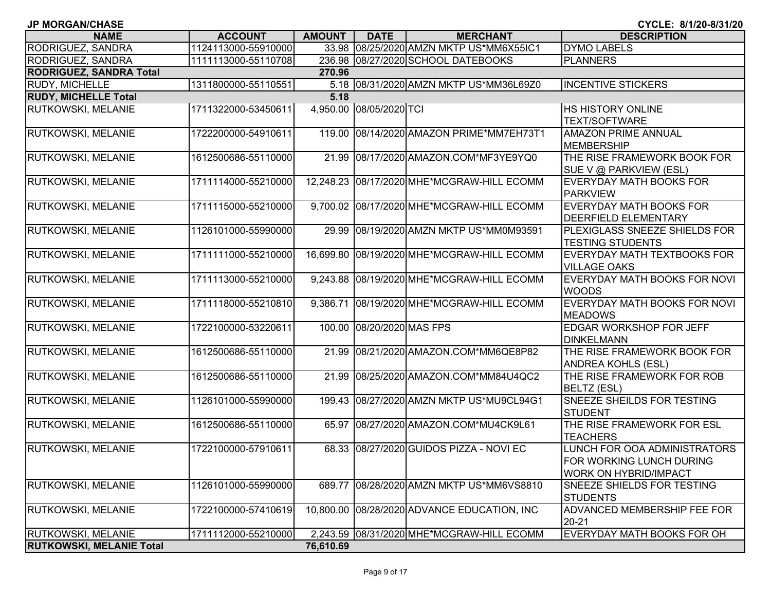| <b>JP MORGAN/CHASE</b>          |                     |               |                    |                                            | CYCLE: 8/1/20-8/31/20                                                                    |
|---------------------------------|---------------------|---------------|--------------------|--------------------------------------------|------------------------------------------------------------------------------------------|
| <b>NAME</b>                     | <b>ACCOUNT</b>      | <b>AMOUNT</b> | <b>DATE</b>        | <b>MERCHANT</b>                            | <b>DESCRIPTION</b>                                                                       |
| RODRIGUEZ, SANDRA               | 1124113000-55910000 | 33.98         |                    | 08/25/2020 AMZN MKTP US*MM6X55IC1          | <b>DYMO LABELS</b>                                                                       |
| RODRIGUEZ, SANDRA               | 1111113000-55110708 |               |                    | 236.98 08/27/2020 SCHOOL DATEBOOKS         | <b>PLANNERS</b>                                                                          |
| <b>RODRIGUEZ, SANDRA Total</b>  |                     | 270.96        |                    |                                            |                                                                                          |
| <b>RUDY, MICHELLE</b>           | 1311800000-55110551 |               |                    | 5.18 08/31/2020 AMZN MKTP US*MM36L69Z0     | <b>INCENTIVE STICKERS</b>                                                                |
| <b>RUDY, MICHELLE Total</b>     |                     | 5.18          |                    |                                            |                                                                                          |
| <b>RUTKOWSKI, MELANIE</b>       | 1711322000-53450611 | 4,950.00      | 08/05/2020 TCI     |                                            | <b>HS HISTORY ONLINE</b><br><b>TEXT/SOFTWARE</b>                                         |
| RUTKOWSKI, MELANIE              | 1722200000-54910611 | 119.00        |                    | 08/14/2020 AMAZON PRIME*MM7EH73T1          | <b>AMAZON PRIME ANNUAL</b><br>MEMBERSHIP                                                 |
| RUTKOWSKI, MELANIE              | 1612500686-55110000 | 21.99         |                    | 08/17/2020 AMAZON.COM*MF3YE9YQ0            | THE RISE FRAMEWORK BOOK FOR<br>SUE V @ PARKVIEW (ESL)                                    |
| RUTKOWSKI, MELANIE              | 1711114000-55210000 |               |                    | 12,248.23 08/17/2020 MHE*MCGRAW-HILL ECOMM | <b>EVERYDAY MATH BOOKS FOR</b><br>PARKVIEW                                               |
| RUTKOWSKI, MELANIE              | 1711115000-55210000 |               |                    | 9,700.02 08/17/2020 MHE*MCGRAW-HILL ECOMM  | <b>EVERYDAY MATH BOOKS FOR</b><br><b>DEERFIELD ELEMENTARY</b>                            |
| RUTKOWSKI, MELANIE              | 1126101000-55990000 | 29.99         |                    | 08/19/2020 AMZN MKTP US*MM0M93591          | PLEXIGLASS SNEEZE SHIELDS FOR<br><b>TESTING STUDENTS</b>                                 |
| <b>RUTKOWSKI, MELANIE</b>       | 1711111000-55210000 | 16,699.80     |                    | 08/19/2020 MHE*MCGRAW-HILL ECOMM           | <b>EVERYDAY MATH TEXTBOOKS FOR</b><br><b>VILLAGE OAKS</b>                                |
| <b>RUTKOWSKI, MELANIE</b>       | 1711113000-55210000 |               |                    | 9,243.88 08/19/2020 MHE*MCGRAW-HILL ECOMM  | EVERYDAY MATH BOOKS FOR NOVI<br><b>WOODS</b>                                             |
| RUTKOWSKI, MELANIE              | 1711118000-55210810 | 9,386.71      |                    | 08/19/2020 MHE*MCGRAW-HILL ECOMM           | EVERYDAY MATH BOOKS FOR NOVI<br><b>MEADOWS</b>                                           |
| RUTKOWSKI, MELANIE              | 1722100000-53220611 | 100.00        | 08/20/2020 MAS FPS |                                            | <b>EDGAR WORKSHOP FOR JEFF</b><br><b>DINKELMANN</b>                                      |
| RUTKOWSKI, MELANIE              | 1612500686-55110000 | 21.99         |                    | 08/21/2020 AMAZON.COM*MM6QE8P82            | THE RISE FRAMEWORK BOOK FOR<br><b>ANDREA KOHLS (ESL)</b>                                 |
| RUTKOWSKI, MELANIE              | 1612500686-55110000 | 21.99         |                    | 08/25/2020 AMAZON.COM*MM84U4QC2            | THE RISE FRAMEWORK FOR ROB<br><b>BELTZ (ESL)</b>                                         |
| <b>RUTKOWSKI, MELANIE</b>       | 1126101000-55990000 |               |                    | 199.43 08/27/2020 AMZN MKTP US*MU9CL94G1   | <b>SNEEZE SHEILDS FOR TESTING</b><br>STUDENT                                             |
| RUTKOWSKI, MELANIE              | 1612500686-55110000 | 65.97         |                    | 08/27/2020 AMAZON.COM*MU4CK9L61            | THE RISE FRAMEWORK FOR ESL<br><b>TEACHERS</b>                                            |
| <b>RUTKOWSKI, MELANIE</b>       | 1722100000-57910611 |               |                    | 68.33 08/27/2020 GUIDOS PIZZA - NOVI EC    | LUNCH FOR OOA ADMINISTRATORS<br>FOR WORKING LUNCH DURING<br><b>WORK ON HYBRID/IMPACT</b> |
| <b>RUTKOWSKI, MELANIE</b>       | 1126101000-55990000 | 689.77        |                    | 08/28/2020 AMZN MKTP US*MM6VS8810          | SNEEZE SHIELDS FOR TESTING<br><b>STUDENTS</b>                                            |
| <b>RUTKOWSKI, MELANIE</b>       | 1722100000-57410619 | 10,800.00     |                    | 08/28/2020 ADVANCE EDUCATION, INC          | ADVANCED MEMBERSHIP FEE FOR<br>20-21                                                     |
| <b>RUTKOWSKI, MELANIE</b>       | 1711112000-55210000 |               |                    | 2,243.59 08/31/2020 MHE*MCGRAW-HILL ECOMM  | EVERYDAY MATH BOOKS FOR OH                                                               |
| <b>RUTKOWSKI, MELANIE Total</b> |                     | 76,610.69     |                    |                                            |                                                                                          |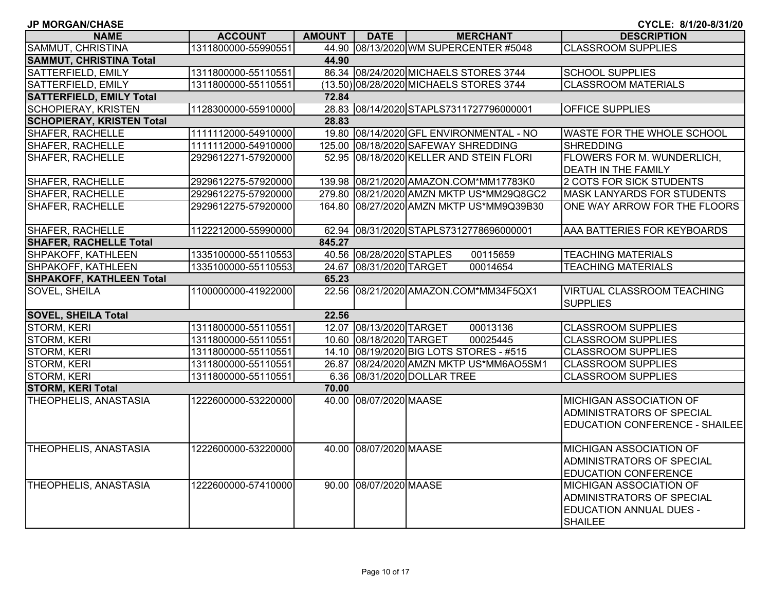| <b>JP MORGAN/CHASE</b>           |                     |               |                          |                                          | CYCLE: 8/1/20-8/31/20                 |
|----------------------------------|---------------------|---------------|--------------------------|------------------------------------------|---------------------------------------|
| <b>NAME</b>                      | <b>ACCOUNT</b>      | <b>AMOUNT</b> | <b>DATE</b>              | <b>MERCHANT</b>                          | <b>DESCRIPTION</b>                    |
| SAMMUT, CHRISTINA                | 1311800000-55990551 |               |                          | 44.90 08/13/2020 WM SUPERCENTER #5048    | <b>CLASSROOM SUPPLIES</b>             |
| <b>SAMMUT, CHRISTINA Total</b>   |                     | 44.90         |                          |                                          |                                       |
| SATTERFIELD, EMILY               | 1311800000-55110551 |               |                          | 86.34 08/24/2020 MICHAELS STORES 3744    | <b>SCHOOL SUPPLIES</b>                |
| SATTERFIELD, EMILY               | 1311800000-55110551 |               |                          | (13.50) 08/28/2020 MICHAELS STORES 3744  | <b>CLASSROOM MATERIALS</b>            |
| <b>SATTERFIELD, EMILY Total</b>  |                     | 72.84         |                          |                                          |                                       |
| <b>SCHOPIERAY, KRISTEN</b>       | 1128300000-55910000 |               |                          | 28.83 08/14/2020 STAPLS7311727796000001  | <b>OFFICE SUPPLIES</b>                |
| <b>SCHOPIERAY, KRISTEN Total</b> |                     | 28.83         |                          |                                          |                                       |
| SHAFER, RACHELLE                 | 1111112000-54910000 |               |                          | 19.80 08/14/2020 GFL ENVIRONMENTAL - NO  | WASTE FOR THE WHOLE SCHOOL            |
| <b>SHAFER, RACHELLE</b>          | 1111112000-54910000 |               |                          | 125.00 08/18/2020 SAFEWAY SHREDDING      | <b>SHREDDING</b>                      |
| <b>SHAFER, RACHELLE</b>          | 2929612271-57920000 |               |                          | 52.95 08/18/2020 KELLER AND STEIN FLORI  | FLOWERS FOR M. WUNDERLICH,            |
|                                  |                     |               |                          |                                          | DEATH IN THE FAMILY                   |
| <b>SHAFER, RACHELLE</b>          | 2929612275-57920000 |               |                          | 139.98 08/21/2020 AMAZON.COM*MM17783K0   | 2 COTS FOR SICK STUDENTS              |
| <b>SHAFER, RACHELLE</b>          | 2929612275-57920000 |               |                          | 279.80 08/21/2020 AMZN MKTP US*MM29Q8GC2 | <b>MASK LANYARDS FOR STUDENTS</b>     |
| <b>SHAFER, RACHELLE</b>          | 2929612275-57920000 |               |                          | 164.80 08/27/2020 AMZN MKTP US*MM9Q39B30 | ONE WAY ARROW FOR THE FLOORS          |
|                                  |                     |               |                          |                                          |                                       |
| <b>SHAFER, RACHELLE</b>          | 1122212000-55990000 |               |                          | 62.94 08/31/2020 STAPLS7312778696000001  | AAA BATTERIES FOR KEYBOARDS           |
| <b>SHAFER, RACHELLE Total</b>    |                     | 845.27        |                          |                                          |                                       |
| SHPAKOFF, KATHLEEN               | 1335100000-55110553 |               | 40.56 08/28/2020 STAPLES | 00115659                                 | <b>TEACHING MATERIALS</b>             |
| SHPAKOFF, KATHLEEN               | 1335100000-55110553 |               | 24.67 08/31/2020 TARGET  | 00014654                                 | <b>TEACHING MATERIALS</b>             |
| <b>SHPAKOFF, KATHLEEN Total</b>  |                     | 65.23         |                          |                                          |                                       |
| SOVEL, SHEILA                    | 1100000000-41922000 |               |                          | 22.56 08/21/2020 AMAZON.COM*MM34F5QX1    | VIRTUAL CLASSROOM TEACHING            |
|                                  |                     |               |                          |                                          | <b>SUPPLIES</b>                       |
| <b>SOVEL, SHEILA Total</b>       |                     | 22.56         |                          |                                          |                                       |
| <b>STORM, KERI</b>               | 1311800000-55110551 |               | 12.07 08/13/2020 TARGET  | 00013136                                 | <b>CLASSROOM SUPPLIES</b>             |
| <b>STORM, KERI</b>               | 1311800000-55110551 |               | 10.60 08/18/2020 TARGET  | 00025445                                 | <b>CLASSROOM SUPPLIES</b>             |
| STORM, KERI                      | 1311800000-55110551 |               |                          | 14.10 08/19/2020 BIG LOTS STORES - #515  | <b>CLASSROOM SUPPLIES</b>             |
| STORM, KERI                      | 1311800000-55110551 |               |                          | 26.87 08/24/2020 AMZN MKTP US*MM6AO5SM1  | <b>CLASSROOM SUPPLIES</b>             |
| <b>STORM, KERI</b>               | 1311800000-55110551 |               |                          | 6.36 08/31/2020 DOLLAR TREE              | <b>CLASSROOM SUPPLIES</b>             |
| <b>STORM, KERI Total</b>         |                     | 70.00         |                          |                                          |                                       |
| <b>THEOPHELIS, ANASTASIA</b>     | 1222600000-53220000 |               | 40.00 08/07/2020 MAASE   |                                          | <b>MICHIGAN ASSOCIATION OF</b>        |
|                                  |                     |               |                          |                                          | ADMINISTRATORS OF SPECIAL             |
|                                  |                     |               |                          |                                          | <b>EDUCATION CONFERENCE - SHAILEE</b> |
|                                  |                     |               |                          |                                          |                                       |
| <b>THEOPHELIS, ANASTASIA</b>     | 1222600000-53220000 |               | 40.00 08/07/2020 MAASE   |                                          | <b>MICHIGAN ASSOCIATION OF</b>        |
|                                  |                     |               |                          |                                          | ADMINISTRATORS OF SPECIAL             |
|                                  |                     |               |                          |                                          | <b>EDUCATION CONFERENCE</b>           |
| <b>THEOPHELIS, ANASTASIA</b>     | 1222600000-57410000 |               | 90.00 08/07/2020 MAASE   |                                          | <b>MICHIGAN ASSOCIATION OF</b>        |
|                                  |                     |               |                          |                                          | ADMINISTRATORS OF SPECIAL             |
|                                  |                     |               |                          |                                          | <b>EDUCATION ANNUAL DUES -</b>        |
|                                  |                     |               |                          |                                          | <b>SHAILEE</b>                        |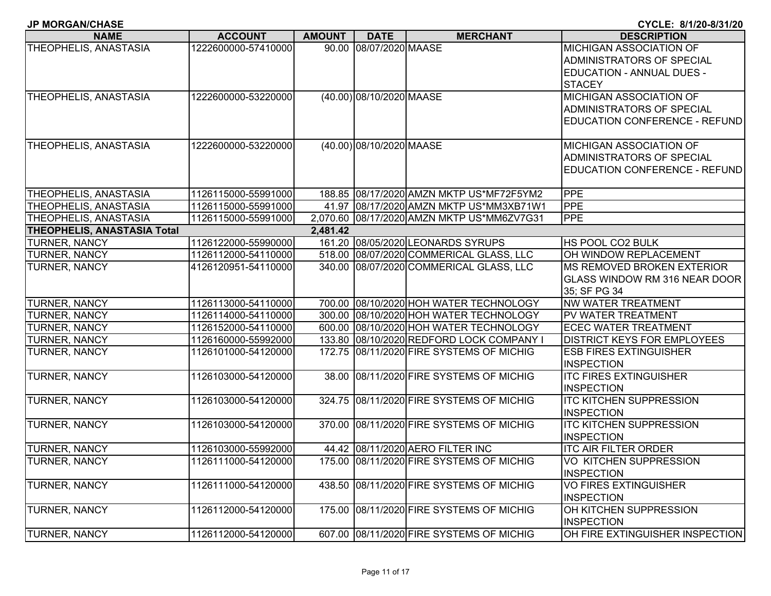|  |  |  |  |  |  |  |  |  |  | <b>JP MORGAN/CHASE</b> |  |
|--|--|--|--|--|--|--|--|--|--|------------------------|--|
|--|--|--|--|--|--|--|--|--|--|------------------------|--|

**CYCLE: 8/1/20-8/31/20**

| <b>NAME</b>                        | <b>ACCOUNT</b>      | <b>AMOUNT</b> | <b>DATE</b>              | <b>MERCHANT</b>                            | <b>DESCRIPTION</b>                   |
|------------------------------------|---------------------|---------------|--------------------------|--------------------------------------------|--------------------------------------|
| THEOPHELIS, ANASTASIA              | 1222600000-57410000 |               | 90.00 08/07/2020 MAASE   |                                            | <b>MICHIGAN ASSOCIATION OF</b>       |
|                                    |                     |               |                          |                                            | ADMINISTRATORS OF SPECIAL            |
|                                    |                     |               |                          |                                            | <b>EDUCATION - ANNUAL DUES -</b>     |
|                                    |                     |               |                          |                                            | <b>STACEY</b>                        |
| THEOPHELIS, ANASTASIA              | 1222600000-53220000 |               | (40.00) 08/10/2020 MAASE |                                            | MICHIGAN ASSOCIATION OF              |
|                                    |                     |               |                          |                                            | ADMINISTRATORS OF SPECIAL            |
|                                    |                     |               |                          |                                            | <b>EDUCATION CONFERENCE - REFUND</b> |
|                                    |                     |               |                          |                                            |                                      |
| <b>THEOPHELIS, ANASTASIA</b>       | 1222600000-53220000 |               | (40.00) 08/10/2020 MAASE |                                            | <b>MICHIGAN ASSOCIATION OF</b>       |
|                                    |                     |               |                          |                                            | ADMINISTRATORS OF SPECIAL            |
|                                    |                     |               |                          |                                            | EDUCATION CONFERENCE - REFUND        |
|                                    |                     |               |                          |                                            |                                      |
| THEOPHELIS, ANASTASIA              | 1126115000-55991000 |               |                          | 188.85 08/17/2020 AMZN MKTP US*MF72F5YM2   | PPE                                  |
| THEOPHELIS, ANASTASIA              | 1126115000-55991000 |               |                          | 41.97 08/17/2020 AMZN MKTP US*MM3XB71W1    | <b>PPE</b>                           |
| THEOPHELIS, ANASTASIA              | 1126115000-55991000 |               |                          | 2,070.60 08/17/2020 AMZN MKTP US*MM6ZV7G31 | PPE                                  |
| <b>THEOPHELIS, ANASTASIA Total</b> |                     | 2,481.42      |                          |                                            |                                      |
| <b>TURNER, NANCY</b>               | 1126122000-55990000 |               |                          | 161.20 08/05/2020 LEONARDS SYRUPS          | HS POOL CO2 BULK                     |
| TURNER, NANCY                      | 1126112000-54110000 |               |                          | 518.00 08/07/2020 COMMERICAL GLASS, LLC    | OH WINDOW REPLACEMENT                |
| TURNER, NANCY                      | 4126120951-54110000 |               |                          | 340.00 08/07/2020 COMMERICAL GLASS, LLC    | <b>MS REMOVED BROKEN EXTERIOR</b>    |
|                                    |                     |               |                          |                                            | GLASS WINDOW RM 316 NEAR DOOR        |
|                                    |                     |               |                          |                                            | 35; SF PG 34                         |
| TURNER, NANCY                      | 1126113000-54110000 |               |                          | 700.00 08/10/2020 HOH WATER TECHNOLOGY     | <b>NW WATER TREATMENT</b>            |
| TURNER, NANCY                      | 1126114000-54110000 |               |                          | 300.00 08/10/2020 HOH WATER TECHNOLOGY     | PV WATER TREATMENT                   |
| TURNER, NANCY                      | 1126152000-54110000 |               |                          | 600.00 08/10/2020 HOH WATER TECHNOLOGY     | <b>ECEC WATER TREATMENT</b>          |
| TURNER, NANCY                      | 1126160000-55992000 |               |                          | 133.80 08/10/2020 REDFORD LOCK COMPANY I   | <b>DISTRICT KEYS FOR EMPLOYEES</b>   |
| TURNER, NANCY                      | 1126101000-54120000 |               |                          | 172.75 08/11/2020 FIRE SYSTEMS OF MICHIG   | <b>ESB FIRES EXTINGUISHER</b>        |
|                                    |                     |               |                          |                                            | <b>INSPECTION</b>                    |
| <b>TURNER, NANCY</b>               | 1126103000-54120000 |               |                          | 38.00 08/11/2020 FIRE SYSTEMS OF MICHIG    | <b>ITC FIRES EXTINGUISHER</b>        |
|                                    |                     |               |                          |                                            | <b>INSPECTION</b>                    |
| TURNER, NANCY                      | 1126103000-54120000 |               |                          | 324.75 08/11/2020 FIRE SYSTEMS OF MICHIG   | <b>ITC KITCHEN SUPPRESSION</b>       |
|                                    |                     |               |                          |                                            | <b>INSPECTION</b>                    |
| TURNER, NANCY                      | 1126103000-54120000 |               |                          | 370.00 08/11/2020 FIRE SYSTEMS OF MICHIG   | <b>ITC KITCHEN SUPPRESSION</b>       |
|                                    |                     |               |                          |                                            | <b>INSPECTION</b>                    |
| TURNER, NANCY                      | 1126103000-55992000 |               |                          | 44.42 08/11/2020 AERO FILTER INC           | <b>ITC AIR FILTER ORDER</b>          |
| <b>TURNER, NANCY</b>               | 1126111000-54120000 |               |                          | 175.00 08/11/2020 FIRE SYSTEMS OF MICHIG   | <b>VO KITCHEN SUPPRESSION</b>        |
|                                    |                     |               |                          |                                            | <b>INSPECTION</b>                    |
| <b>TURNER, NANCY</b>               | 1126111000-54120000 | 438.50        |                          | 08/11/2020 FIRE SYSTEMS OF MICHIG          | <b>VO FIRES EXTINGUISHER</b>         |
|                                    |                     |               |                          |                                            | <b>INSPECTION</b>                    |
| <b>TURNER, NANCY</b>               | 1126112000-54120000 |               |                          | 175.00 08/11/2020 FIRE SYSTEMS OF MICHIG   | OH KITCHEN SUPPRESSION               |
|                                    |                     |               |                          |                                            | <b>INSPECTION</b>                    |
| <b>TURNER, NANCY</b>               | 1126112000-54120000 |               |                          | 607.00 08/11/2020 FIRE SYSTEMS OF MICHIG   | OH FIRE EXTINGUISHER INSPECTION      |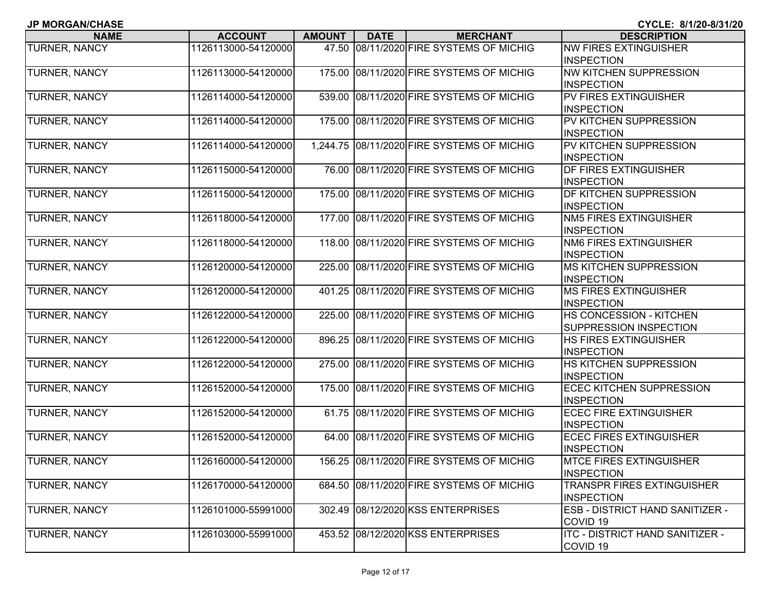| <b>JP MORGAN/CHASE</b> |  |
|------------------------|--|
|------------------------|--|

| <b>NAME</b>          | <b>ACCOUNT</b>      | <b>AMOUNT</b> | <b>DATE</b> | <b>MERCHANT</b>                            | <b>DESCRIPTION</b>                     |
|----------------------|---------------------|---------------|-------------|--------------------------------------------|----------------------------------------|
| TURNER, NANCY        | 1126113000-54120000 | 47.50         |             | 08/11/2020 FIRE SYSTEMS OF MICHIG          | <b>NW FIRES EXTINGUISHER</b>           |
|                      |                     |               |             |                                            | <b>INSPECTION</b>                      |
| TURNER, NANCY        | 1126113000-54120000 | 175.00        |             | 08/11/2020 FIRE SYSTEMS OF MICHIG          | NW KITCHEN SUPPRESSION                 |
|                      |                     |               |             |                                            | <b>INSPECTION</b>                      |
| TURNER, NANCY        | 1126114000-54120000 |               |             | 539.00 08/11/2020 FIRE SYSTEMS OF MICHIG   | PV FIRES EXTINGUISHER                  |
|                      |                     |               |             |                                            | <b>INSPECTION</b>                      |
| TURNER, NANCY        | 1126114000-54120000 |               |             | 175.00 08/11/2020 FIRE SYSTEMS OF MICHIG   | PV KITCHEN SUPPRESSION                 |
|                      |                     |               |             |                                            | <b>INSPECTION</b>                      |
| <b>TURNER, NANCY</b> | 1126114000-54120000 |               |             | 1,244.75 08/11/2020 FIRE SYSTEMS OF MICHIG | PV KITCHEN SUPPRESSION                 |
|                      |                     |               |             |                                            | <b>INSPECTION</b>                      |
| TURNER, NANCY        | 1126115000-54120000 |               |             | 76.00 08/11/2020 FIRE SYSTEMS OF MICHIG    | DF FIRES EXTINGUISHER                  |
|                      |                     |               |             |                                            | <b>INSPECTION</b>                      |
| TURNER, NANCY        | 1126115000-54120000 |               |             | 175.00 08/11/2020 FIRE SYSTEMS OF MICHIG   | DF KITCHEN SUPPRESSION                 |
|                      |                     |               |             |                                            | <b>INSPECTION</b>                      |
| TURNER, NANCY        | 1126118000-54120000 |               |             | 177.00 08/11/2020 FIRE SYSTEMS OF MICHIG   | NM5 FIRES EXTINGUISHER                 |
|                      |                     |               |             |                                            | <b>INSPECTION</b>                      |
| TURNER, NANCY        | 1126118000-54120000 |               |             | 118.00 08/11/2020 FIRE SYSTEMS OF MICHIG   | <b>NM6 FIRES EXTINGUISHER</b>          |
|                      |                     |               |             |                                            | <b>INSPECTION</b>                      |
| TURNER, NANCY        | 1126120000-54120000 |               |             | 225.00 08/11/2020 FIRE SYSTEMS OF MICHIG   | <b>MS KITCHEN SUPPRESSION</b>          |
|                      |                     |               |             |                                            | <b>INSPECTION</b>                      |
| TURNER, NANCY        | 1126120000-54120000 |               |             | 401.25 08/11/2020 FIRE SYSTEMS OF MICHIG   | <b>MS FIRES EXTINGUISHER</b>           |
|                      |                     |               |             |                                            | <b>INSPECTION</b>                      |
| TURNER, NANCY        | 1126122000-54120000 | 225.00        |             | 08/11/2020 FIRE SYSTEMS OF MICHIG          | HS CONCESSION - KITCHEN                |
|                      |                     |               |             |                                            | SUPPRESSION INSPECTION                 |
| TURNER, NANCY        | 1126122000-54120000 | 896.25        |             | 08/11/2020 FIRE SYSTEMS OF MICHIG          | HS FIRES EXTINGUISHER                  |
|                      |                     |               |             |                                            | <b>INSPECTION</b>                      |
| <b>TURNER, NANCY</b> | 1126122000-54120000 |               |             | 275.00 08/11/2020 FIRE SYSTEMS OF MICHIG   | HS KITCHEN SUPPRESSION                 |
|                      |                     |               |             |                                            | <b>INSPECTION</b>                      |
| TURNER, NANCY        | 1126152000-54120000 | 175.00        |             | 08/11/2020 FIRE SYSTEMS OF MICHIG          | <b>ECEC KITCHEN SUPPRESSION</b>        |
|                      |                     |               |             |                                            | <b>INSPECTION</b>                      |
| <b>TURNER, NANCY</b> | 1126152000-54120000 |               |             | 61.75 08/11/2020 FIRE SYSTEMS OF MICHIG    | <b>ECEC FIRE EXTINGUISHER</b>          |
|                      |                     |               |             |                                            | <b>INSPECTION</b>                      |
| TURNER, NANCY        | 1126152000-54120000 |               |             | 64.00 08/11/2020 FIRE SYSTEMS OF MICHIG    | <b>ECEC FIRES EXTINGUISHER</b>         |
|                      |                     |               |             |                                            | <b>INSPECTION</b>                      |
| <b>TURNER, NANCY</b> | 1126160000-54120000 |               |             | 156.25 08/11/2020 FIRE SYSTEMS OF MICHIG   | <b>MTCE FIRES EXTINGUISHER</b>         |
|                      |                     |               |             |                                            | <b>INSPECTION</b>                      |
| TURNER, NANCY        | 1126170000-54120000 |               |             | 684.50 08/11/2020 FIRE SYSTEMS OF MICHIG   | <b>TRANSPR FIRES EXTINGUISHER</b>      |
|                      |                     |               |             |                                            | <b>INSPECTION</b>                      |
| TURNER, NANCY        | 1126101000-55991000 |               |             | 302.49 08/12/2020 KSS ENTERPRISES          | ESB - DISTRICT HAND SANITIZER -        |
|                      |                     |               |             |                                            | COVID <sub>19</sub>                    |
| TURNER, NANCY        | 1126103000-55991000 |               |             | 453.52 08/12/2020 KSS ENTERPRISES          | <b>ITC - DISTRICT HAND SANITIZER -</b> |
|                      |                     |               |             |                                            | COVID <sub>19</sub>                    |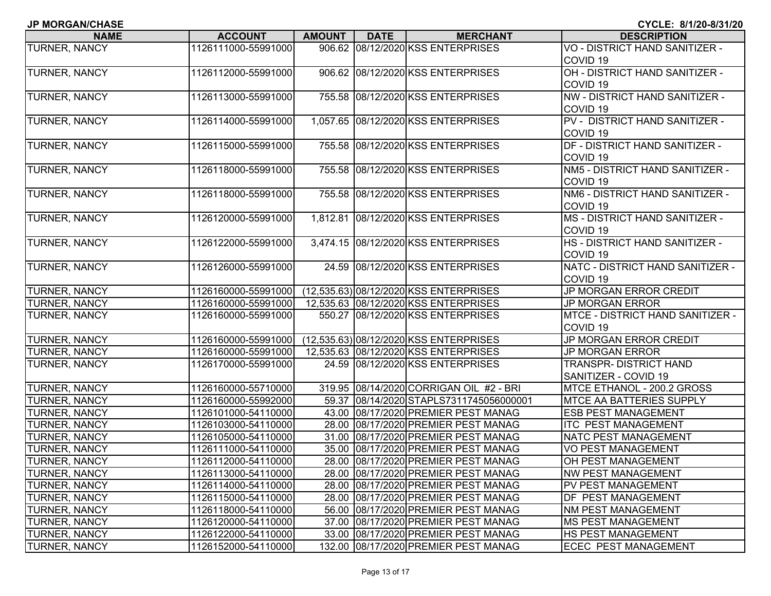| <b>JP MORGAN/CHASE</b> |  |
|------------------------|--|
|------------------------|--|

| <b>NAME</b>          | <b>ACCOUNT</b>      | AMOUNT | <b>DATE</b> | <b>MERCHANT</b>                         | <b>DESCRIPTION</b>                    |
|----------------------|---------------------|--------|-------------|-----------------------------------------|---------------------------------------|
| TURNER, NANCY        | 1126111000-55991000 |        |             | 906.62 08/12/2020 KSS ENTERPRISES       | VO - DISTRICT HAND SANITIZER -        |
|                      |                     |        |             |                                         | COVID <sub>19</sub>                   |
| <b>TURNER, NANCY</b> | 1126112000-55991000 |        |             | 906.62 08/12/2020 KSS ENTERPRISES       | OH - DISTRICT HAND SANITIZER -        |
|                      |                     |        |             |                                         | COVID <sub>19</sub>                   |
| TURNER, NANCY        | 1126113000-55991000 |        |             | 755.58 08/12/2020 KSS ENTERPRISES       | NW - DISTRICT HAND SANITIZER -        |
|                      |                     |        |             |                                         | COVID <sub>19</sub>                   |
| TURNER, NANCY        | 1126114000-55991000 |        |             | 1,057.65 08/12/2020 KSS ENTERPRISES     | PV - DISTRICT HAND SANITIZER -        |
|                      |                     |        |             |                                         | COVID <sub>19</sub>                   |
| <b>TURNER, NANCY</b> | 1126115000-55991000 |        |             | 755.58 08/12/2020 KSS ENTERPRISES       | DF - DISTRICT HAND SANITIZER -        |
|                      |                     |        |             |                                         | COVID <sub>19</sub>                   |
| TURNER, NANCY        | 1126118000-55991000 |        |             | 755.58 08/12/2020 KSS ENTERPRISES       | NM5 - DISTRICT HAND SANITIZER -       |
|                      |                     |        |             |                                         | COVID <sub>19</sub>                   |
| TURNER, NANCY        | 1126118000-55991000 |        |             | 755.58 08/12/2020 KSS ENTERPRISES       | NM6 - DISTRICT HAND SANITIZER -       |
|                      |                     |        |             |                                         | COVID <sub>19</sub>                   |
| TURNER, NANCY        | 1126120000-55991000 |        |             | 1,812.81 08/12/2020 KSS ENTERPRISES     | <b>MS - DISTRICT HAND SANITIZER -</b> |
|                      |                     |        |             |                                         | COVID <sub>19</sub>                   |
| TURNER, NANCY        | 1126122000-55991000 |        |             | 3,474.15 08/12/2020 KSS ENTERPRISES     | HS - DISTRICT HAND SANITIZER -        |
|                      |                     |        |             |                                         | COVID <sub>19</sub>                   |
| TURNER, NANCY        | 1126126000-55991000 |        |             | 24.59 08/12/2020 KSS ENTERPRISES        | NATC - DISTRICT HAND SANITIZER -      |
|                      |                     |        |             |                                         | COVID <sub>19</sub>                   |
| TURNER, NANCY        | 1126160000-55991000 |        |             | (12,535.63) 08/12/2020 KSS ENTERPRISES  | JP MORGAN ERROR CREDIT                |
| TURNER, NANCY        | 1126160000-55991000 |        |             | 12,535.63 08/12/2020 KSS ENTERPRISES    | <b>JP MORGAN ERROR</b>                |
| TURNER, NANCY        | 1126160000-55991000 |        |             | 550.27 08/12/2020 KSS ENTERPRISES       | MTCE - DISTRICT HAND SANITIZER -      |
|                      |                     |        |             |                                         | COVID <sub>19</sub>                   |
| TURNER, NANCY        | 1126160000-55991000 |        |             | (12,535.63) 08/12/2020 KSS ENTERPRISES  | JP MORGAN ERROR CREDIT                |
| TURNER, NANCY        | 1126160000-55991000 |        |             | 12,535.63 08/12/2020 KSS ENTERPRISES    | <b>JP MORGAN ERROR</b>                |
| TURNER, NANCY        | 1126170000-55991000 |        |             | 24.59 08/12/2020 KSS ENTERPRISES        | <b>TRANSPR- DISTRICT HAND</b>         |
|                      |                     |        |             |                                         | SANITIZER - COVID 19                  |
| TURNER, NANCY        | 1126160000-55710000 |        |             | 319.95 08/14/2020 CORRIGAN OIL #2 - BRI | MTCE ETHANOL - 200.2 GROSS            |
| TURNER, NANCY        | 1126160000-55992000 |        |             | 59.37 08/14/2020 STAPLS7311745056000001 | <b>MTCE AA BATTERIES SUPPLY</b>       |
| TURNER, NANCY        | 1126101000-54110000 |        |             | 43.00 08/17/2020 PREMIER PEST MANAG     | <b>ESB PEST MANAGEMENT</b>            |
| TURNER, NANCY        | 1126103000-54110000 |        |             | 28.00 08/17/2020 PREMIER PEST MANAG     | <b>ITC PEST MANAGEMENT</b>            |
| TURNER, NANCY        | 1126105000-54110000 |        |             | 31.00 08/17/2020 PREMIER PEST MANAG     | NATC PEST MANAGEMENT                  |
| TURNER, NANCY        | 1126111000-54110000 |        |             | 35.00 08/17/2020 PREMIER PEST MANAG     | <b>VO PEST MANAGEMENT</b>             |
| <b>TURNER, NANCY</b> | 1126112000-54110000 |        |             | 28.00 08/17/2020 PREMIER PEST MANAG     | <b>OH PEST MANAGEMENT</b>             |
| <b>TURNER, NANCY</b> | 1126113000-54110000 |        |             | 28.00 08/17/2020 PREMIER PEST MANAG     | <b>NW PEST MANAGEMENT</b>             |
| <b>TURNER, NANCY</b> | 1126114000-54110000 |        |             | 28.00 08/17/2020 PREMIER PEST MANAG     | PV PEST MANAGEMENT                    |
| <b>TURNER, NANCY</b> | 1126115000-54110000 |        |             | 28.00 08/17/2020 PREMIER PEST MANAG     | DF PEST MANAGEMENT                    |
| <b>TURNER, NANCY</b> | 1126118000-54110000 |        |             | 56.00 08/17/2020 PREMIER PEST MANAG     | <b>NM PEST MANAGEMENT</b>             |
| <b>TURNER, NANCY</b> | 1126120000-54110000 |        |             | 37.00 08/17/2020 PREMIER PEST MANAG     | <b>MS PEST MANAGEMENT</b>             |
| <b>TURNER, NANCY</b> | 1126122000-54110000 |        |             | 33.00 08/17/2020 PREMIER PEST MANAG     | HS PEST MANAGEMENT                    |
| <b>TURNER, NANCY</b> | 1126152000-54110000 |        |             | 132.00 08/17/2020 PREMIER PEST MANAG    | <b>ECEC PEST MANAGEMENT</b>           |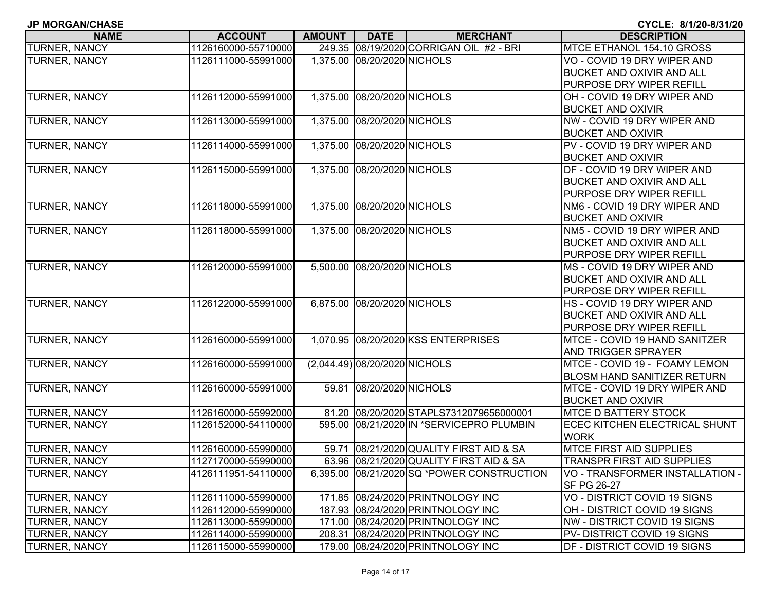| <b>JP MORGAN/CHASE</b> |
|------------------------|
|------------------------|

| <b>NAME</b>          | <b>ACCOUNT</b>      | <b>AMOUNT</b> | <b>DATE</b>                   | <b>MERCHANT</b>                            | <b>DESCRIPTION</b>                  |
|----------------------|---------------------|---------------|-------------------------------|--------------------------------------------|-------------------------------------|
| <b>TURNER, NANCY</b> | 1126160000-55710000 |               |                               | 249.35 08/19/2020 CORRIGAN OIL #2 - BRI    | MTCE ETHANOL 154.10 GROSS           |
| <b>TURNER, NANCY</b> | 1126111000-55991000 |               | 1,375.00 08/20/2020 NICHOLS   |                                            | VO - COVID 19 DRY WIPER AND         |
|                      |                     |               |                               |                                            | BUCKET AND OXIVIR AND ALL           |
|                      |                     |               |                               |                                            | PURPOSE DRY WIPER REFILL            |
| <b>TURNER, NANCY</b> | 1126112000-55991000 |               | 1,375.00 08/20/2020 NICHOLS   |                                            | OH - COVID 19 DRY WIPER AND         |
|                      |                     |               |                               |                                            | <b>BUCKET AND OXIVIR</b>            |
| <b>TURNER, NANCY</b> | 1126113000-55991000 |               | 1,375.00 08/20/2020 NICHOLS   |                                            | NW - COVID 19 DRY WIPER AND         |
|                      |                     |               |                               |                                            | <b>BUCKET AND OXIVIR</b>            |
| <b>TURNER, NANCY</b> | 1126114000-55991000 |               | 1,375.00 08/20/2020 NICHOLS   |                                            | PV - COVID 19 DRY WIPER AND         |
|                      |                     |               |                               |                                            | <b>BUCKET AND OXIVIR</b>            |
| <b>TURNER, NANCY</b> | 1126115000-55991000 |               | 1,375.00 08/20/2020 NICHOLS   |                                            | DF - COVID 19 DRY WIPER AND         |
|                      |                     |               |                               |                                            | <b>BUCKET AND OXIVIR AND ALL</b>    |
|                      |                     |               |                               |                                            | PURPOSE DRY WIPER REFILL            |
| <b>TURNER, NANCY</b> | 1126118000-55991000 |               | 1,375.00 08/20/2020 NICHOLS   |                                            | NM6 - COVID 19 DRY WIPER AND        |
|                      |                     |               |                               |                                            | <b>BUCKET AND OXIVIR</b>            |
| <b>TURNER, NANCY</b> | 1126118000-55991000 |               | 1,375.00 08/20/2020 NICHOLS   |                                            | NM5 - COVID 19 DRY WIPER AND        |
|                      |                     |               |                               |                                            | <b>BUCKET AND OXIVIR AND ALL</b>    |
|                      |                     |               |                               |                                            | PURPOSE DRY WIPER REFILL            |
| <b>TURNER, NANCY</b> | 1126120000-55991000 |               | 5,500.00 08/20/2020 NICHOLS   |                                            | MS - COVID 19 DRY WIPER AND         |
|                      |                     |               |                               |                                            | <b>BUCKET AND OXIVIR AND ALL</b>    |
|                      |                     |               |                               |                                            | PURPOSE DRY WIPER REFILL            |
| <b>TURNER, NANCY</b> | 1126122000-55991000 |               | 6,875.00 08/20/2020 NICHOLS   |                                            | HS - COVID 19 DRY WIPER AND         |
|                      |                     |               |                               |                                            | <b>BUCKET AND OXIVIR AND ALL</b>    |
|                      |                     |               |                               |                                            | PURPOSE DRY WIPER REFILL            |
| <b>TURNER, NANCY</b> | 1126160000-55991000 |               |                               | 1,070.95 08/20/2020 KSS ENTERPRISES        | MTCE - COVID 19 HAND SANITZER       |
|                      |                     |               |                               |                                            | <b>AND TRIGGER SPRAYER</b>          |
| TURNER, NANCY        | 1126160000-55991000 |               | (2,044.49) 08/20/2020 NICHOLS |                                            | MTCE - COVID 19 - FOAMY LEMON       |
|                      |                     |               |                               |                                            | <b>BLOSM HAND SANITIZER RETURN</b>  |
| <b>TURNER, NANCY</b> | 1126160000-55991000 |               | 59.81 08/20/2020 NICHOLS      |                                            | MTCE - COVID 19 DRY WIPER AND       |
|                      |                     |               |                               |                                            | <b>BUCKET AND OXIVIR</b>            |
| <b>TURNER, NANCY</b> | 1126160000-55992000 |               |                               | 81.20 08/20/2020 STAPLS7312079656000001    | <b>MTCE D BATTERY STOCK</b>         |
| <b>TURNER, NANCY</b> | 1126152000-54110000 |               |                               | 595.00 08/21/2020 IN *SERVICEPRO PLUMBIN   | ECEC KITCHEN ELECTRICAL SHUNT       |
|                      |                     |               |                               |                                            | <b>WORK</b>                         |
| <b>TURNER, NANCY</b> | 1126160000-55990000 |               |                               | 59.71 08/21/2020 QUALITY FIRST AID & SA    | <b>MTCE FIRST AID SUPPLIES</b>      |
| <b>TURNER, NANCY</b> | 1127170000-55990000 |               |                               | 63.96 08/21/2020 QUALITY FIRST AID & SA    | <b>TRANSPR FIRST AID SUPPLIES</b>   |
| <b>TURNER, NANCY</b> | 4126111951-54110000 |               |                               | 6,395.00 08/21/2020 SQ *POWER CONSTRUCTION | VO - TRANSFORMER INSTALLATION -     |
|                      |                     |               |                               |                                            | SF PG 26-27                         |
| <b>TURNER, NANCY</b> | 1126111000-55990000 |               |                               | 171.85 08/24/2020 PRINTNOLOGY INC          | VO - DISTRICT COVID 19 SIGNS        |
| <b>TURNER, NANCY</b> | 1126112000-55990000 |               |                               | 187.93 08/24/2020 PRINTNOLOGY INC          | OH - DISTRICT COVID 19 SIGNS        |
| <b>TURNER, NANCY</b> | 1126113000-55990000 |               |                               | 171.00 08/24/2020 PRINTNOLOGY INC          | NW - DISTRICT COVID 19 SIGNS        |
| <b>TURNER, NANCY</b> | 1126114000-55990000 |               |                               | 208.31 08/24/2020 PRINTNOLOGY INC          | PV-DISTRICT COVID 19 SIGNS          |
| <b>TURNER, NANCY</b> | 1126115000-55990000 |               |                               | 179.00 08/24/2020 PRINTNOLOGY INC          | <b>DF - DISTRICT COVID 19 SIGNS</b> |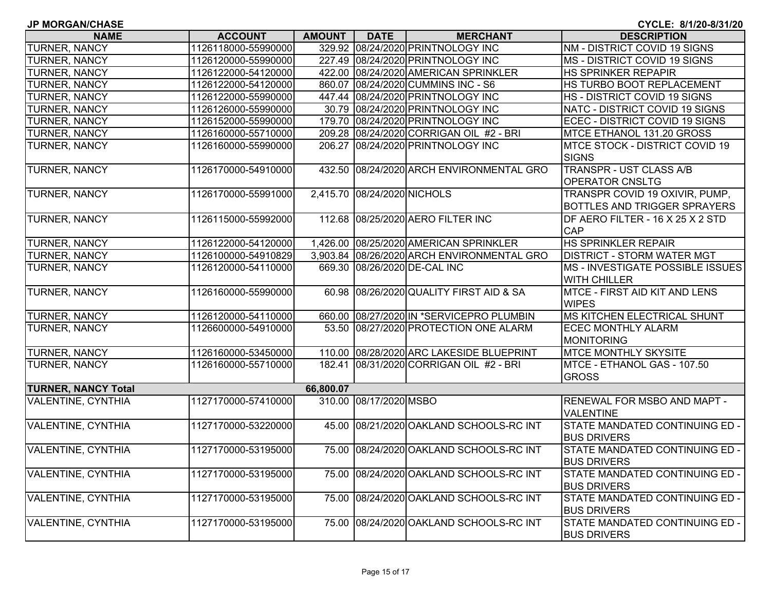| <b>JP MORGAN/CHASE</b>     |                     |               |                             |                                            | CYCLE: 8/1/20-8/31/20                                                 |
|----------------------------|---------------------|---------------|-----------------------------|--------------------------------------------|-----------------------------------------------------------------------|
| <b>NAME</b>                | <b>ACCOUNT</b>      | <b>AMOUNT</b> | <b>DATE</b>                 | <b>MERCHANT</b>                            | <b>DESCRIPTION</b>                                                    |
| TURNER, NANCY              | 1126118000-55990000 |               |                             | 329.92 08/24/2020 PRINTNOLOGY INC          | NM - DISTRICT COVID 19 SIGNS                                          |
| TURNER, NANCY              | 1126120000-55990000 |               |                             | 227.49 08/24/2020 PRINTNOLOGY INC          | MS - DISTRICT COVID 19 SIGNS                                          |
| <b>TURNER, NANCY</b>       | 1126122000-54120000 |               |                             | 422.00 08/24/2020 AMERICAN SPRINKLER       | <b>HS SPRINKER REPAPIR</b>                                            |
| TURNER, NANCY              | 1126122000-54120000 |               |                             | 860.07 08/24/2020 CUMMINS INC - S6         | HS TURBO BOOT REPLACEMENT                                             |
| TURNER, NANCY              | 1126122000-55990000 |               |                             | 447.44 08/24/2020 PRINTNOLOGY INC          | HS - DISTRICT COVID 19 SIGNS                                          |
| TURNER, NANCY              | 1126126000-55990000 |               |                             | 30.79 08/24/2020 PRINTNOLOGY INC           | NATC - DISTRICT COVID 19 SIGNS                                        |
| <b>TURNER, NANCY</b>       | 1126152000-55990000 |               |                             | 179.70 08/24/2020 PRINTNOLOGY INC          | ECEC - DISTRICT COVID 19 SIGNS                                        |
| TURNER, NANCY              | 1126160000-55710000 |               |                             | 209.28 08/24/2020 CORRIGAN OIL #2 - BRI    | MTCE ETHANOL 131.20 GROSS                                             |
| <b>TURNER, NANCY</b>       | 1126160000-55990000 |               |                             | 206.27 08/24/2020 PRINTNOLOGY INC          | <b>MTCE STOCK - DISTRICT COVID 19</b><br><b>SIGNS</b>                 |
| TURNER, NANCY              | 1126170000-54910000 |               |                             | 432.50 08/24/2020 ARCH ENVIRONMENTAL GRO   | <b>TRANSPR - UST CLASS A/B</b><br><b>OPERATOR CNSLTG</b>              |
| TURNER, NANCY              | 1126170000-55991000 |               | 2,415.70 08/24/2020 NICHOLS |                                            | TRANSPR COVID 19 OXIVIR, PUMP,<br><b>BOTTLES AND TRIGGER SPRAYERS</b> |
| TURNER, NANCY              | 1126115000-55992000 |               |                             | 112.68 08/25/2020 AERO FILTER INC          | DF AERO FILTER - 16 X 25 X 2 STD<br><b>CAP</b>                        |
| <b>TURNER, NANCY</b>       | 1126122000-54120000 |               |                             | 1,426.00 08/25/2020 AMERICAN SPRINKLER     | <b>HS SPRINKLER REPAIR</b>                                            |
| TURNER, NANCY              | 1126100000-54910829 |               |                             | 3,903.84 08/26/2020 ARCH ENVIRONMENTAL GRO | <b>DISTRICT - STORM WATER MGT</b>                                     |
| TURNER, NANCY              | 1126120000-54110000 |               |                             | 669.30 08/26/2020 DE-CAL INC               | MS - INVESTIGATE POSSIBLE ISSUES<br><b>WITH CHILLER</b>               |
| TURNER, NANCY              | 1126160000-55990000 |               |                             | 60.98 08/26/2020 QUALITY FIRST AID & SA    | MTCE - FIRST AID KIT AND LENS<br><b>WIPES</b>                         |
| TURNER, NANCY              | 1126120000-54110000 |               |                             | 660.00 08/27/2020 IN *SERVICEPRO PLUMBIN   | <b>MS KITCHEN ELECTRICAL SHUNT</b>                                    |
| <b>TURNER, NANCY</b>       | 1126600000-54910000 |               |                             | 53.50 08/27/2020 PROTECTION ONE ALARM      | <b>ECEC MONTHLY ALARM</b><br>MONITORING                               |
| TURNER, NANCY              | 1126160000-53450000 |               |                             | 110.00 08/28/2020 ARC LAKESIDE BLUEPRINT   | <b>MTCE MONTHLY SKYSITE</b>                                           |
| <b>TURNER, NANCY</b>       | 1126160000-55710000 |               |                             | 182.41 08/31/2020 CORRIGAN OIL #2 - BRI    | MTCE - ETHANOL GAS - 107.50<br><b>GROSS</b>                           |
| <b>TURNER, NANCY Total</b> |                     | 66,800.07     |                             |                                            |                                                                       |
| <b>VALENTINE, CYNTHIA</b>  | 1127170000-57410000 |               | 310.00 08/17/2020 MSBO      |                                            | RENEWAL FOR MSBO AND MAPT -<br><b>VALENTINE</b>                       |
| <b>VALENTINE, CYNTHIA</b>  | 1127170000-53220000 |               |                             | 45.00 08/21/2020 OAKLAND SCHOOLS-RC INT    | STATE MANDATED CONTINUING ED -<br><b>BUS DRIVERS</b>                  |
| VALENTINE, CYNTHIA         | 1127170000-53195000 |               |                             | 75.00 08/24/2020 OAKLAND SCHOOLS-RC INT    | STATE MANDATED CONTINUING ED -<br><b>BUS DRIVERS</b>                  |
| <b>VALENTINE, CYNTHIA</b>  | 1127170000-53195000 |               |                             | 75.00 08/24/2020 OAKLAND SCHOOLS-RC INT    | STATE MANDATED CONTINUING ED -<br><b>BUS DRIVERS</b>                  |
| <b>VALENTINE, CYNTHIA</b>  | 1127170000-53195000 |               |                             | 75.00 08/24/2020 OAKLAND SCHOOLS-RC INT    | STATE MANDATED CONTINUING ED -<br><b>BUS DRIVERS</b>                  |
| VALENTINE, CYNTHIA         | 1127170000-53195000 |               |                             | 75.00 08/24/2020 OAKLAND SCHOOLS-RC INT    | STATE MANDATED CONTINUING ED -<br><b>BUS DRIVERS</b>                  |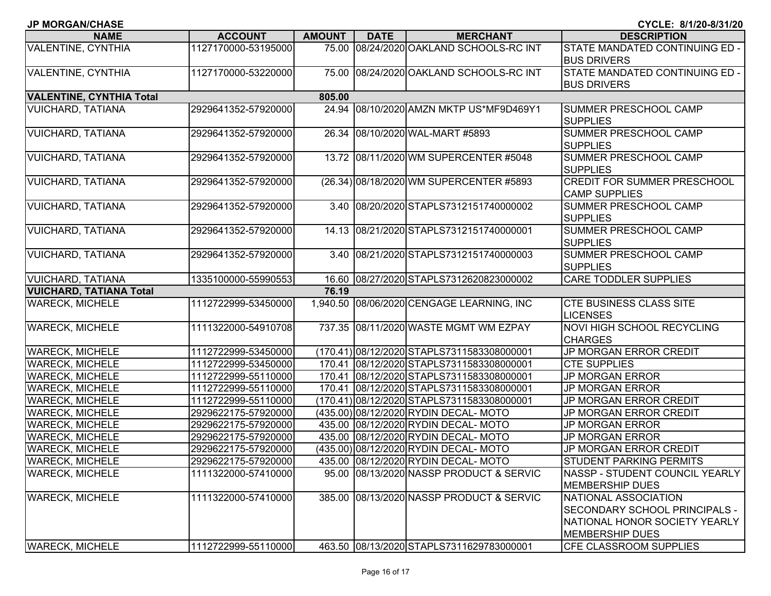| <b>JP MORGAN/CHASE</b>          |                     |               |             |                                            | CYCLE: 8/1/20-8/31/20                                                                                                   |
|---------------------------------|---------------------|---------------|-------------|--------------------------------------------|-------------------------------------------------------------------------------------------------------------------------|
| <b>NAME</b>                     | <b>ACCOUNT</b>      | <b>AMOUNT</b> | <b>DATE</b> | <b>MERCHANT</b>                            | <b>DESCRIPTION</b>                                                                                                      |
| VALENTINE, CYNTHIA              | 1127170000-53195000 |               |             | 75.00 08/24/2020 OAKLAND SCHOOLS-RC INT    | STATE MANDATED CONTINUING ED -<br><b>BUS DRIVERS</b>                                                                    |
| VALENTINE, CYNTHIA              | 1127170000-53220000 |               |             | 75.00 08/24/2020 OAKLAND SCHOOLS-RC INT    | STATE MANDATED CONTINUING ED -<br><b>BUS DRIVERS</b>                                                                    |
| <b>VALENTINE, CYNTHIA Total</b> |                     | 805.00        |             |                                            |                                                                                                                         |
| <b>VUICHARD, TATIANA</b>        | 2929641352-57920000 |               |             | 24.94 08/10/2020 AMZN MKTP US*MF9D469Y1    | <b>SUMMER PRESCHOOL CAMP</b><br><b>SUPPLIES</b>                                                                         |
| <b>VUICHARD, TATIANA</b>        | 2929641352-57920000 |               |             | 26.34 08/10/2020 WAL-MART #5893            | <b>SUMMER PRESCHOOL CAMP</b><br><b>SUPPLIES</b>                                                                         |
| VUICHARD, TATIANA               | 2929641352-57920000 |               |             | 13.72 08/11/2020 WM SUPERCENTER #5048      | <b>SUMMER PRESCHOOL CAMP</b><br><b>SUPPLIES</b>                                                                         |
| <b>VUICHARD, TATIANA</b>        | 2929641352-57920000 |               |             | (26.34) 08/18/2020 WM SUPERCENTER #5893    | <b>CREDIT FOR SUMMER PRESCHOOL</b><br><b>CAMP SUPPLIES</b>                                                              |
| <b>VUICHARD, TATIANA</b>        | 2929641352-57920000 |               |             | 3.40 08/20/2020 STAPLS7312151740000002     | <b>SUMMER PRESCHOOL CAMP</b><br><b>SUPPLIES</b>                                                                         |
| <b>VUICHARD, TATIANA</b>        | 2929641352-57920000 |               |             | 14.13 08/21/2020 STAPLS7312151740000001    | <b>SUMMER PRESCHOOL CAMP</b><br><b>SUPPLIES</b>                                                                         |
| VUICHARD, TATIANA               | 2929641352-57920000 |               |             | 3.40 08/21/2020 STAPLS7312151740000003     | <b>SUMMER PRESCHOOL CAMP</b><br><b>SUPPLIES</b>                                                                         |
| VUICHARD, TATIANA               | 1335100000-55990553 |               |             | 16.60 08/27/2020 STAPLS7312620823000002    | <b>CARE TODDLER SUPPLIES</b>                                                                                            |
| <b>VUICHARD, TATIANA Total</b>  |                     | 76.19         |             |                                            |                                                                                                                         |
| <b>WARECK, MICHELE</b>          | 1112722999-53450000 |               |             | 1,940.50 08/06/2020 CENGAGE LEARNING, INC  | <b>CTE BUSINESS CLASS SITE</b><br><b>LICENSES</b>                                                                       |
| <b>WARECK, MICHELE</b>          | 1111322000-54910708 |               |             | 737.35 08/11/2020 WASTE MGMT WM EZPAY      | NOVI HIGH SCHOOL RECYCLING<br><b>CHARGES</b>                                                                            |
| <b>WARECK, MICHELE</b>          | 1112722999-53450000 |               |             | (170.41) 08/12/2020 STAPLS7311583308000001 | JP MORGAN ERROR CREDIT                                                                                                  |
| <b>WARECK, MICHELE</b>          | 1112722999-53450000 |               |             | 170.41 08/12/2020 STAPLS7311583308000001   | <b>CTE SUPPLIES</b>                                                                                                     |
| <b>WARECK, MICHELE</b>          | 1112722999-55110000 | 170.41        |             | 08/12/2020 STAPLS7311583308000001          | <b>JP MORGAN ERROR</b>                                                                                                  |
| <b>WARECK, MICHELE</b>          | 1112722999-55110000 |               |             | 170.41 08/12/2020 STAPLS7311583308000001   | <b>JP MORGAN ERROR</b>                                                                                                  |
| <b>WARECK, MICHELE</b>          | 1112722999-55110000 |               |             | (170.41) 08/12/2020 STAPLS7311583308000001 | <b>JP MORGAN ERROR CREDIT</b>                                                                                           |
| <b>WARECK, MICHELE</b>          | 2929622175-57920000 |               |             | (435.00) 08/12/2020 RYDIN DECAL-MOTO       | JP MORGAN ERROR CREDIT                                                                                                  |
| <b>WARECK, MICHELE</b>          | 2929622175-57920000 |               |             | 435.00 08/12/2020 RYDIN DECAL- MOTO        | <b>JP MORGAN ERROR</b>                                                                                                  |
| <b>WARECK, MICHELE</b>          | 2929622175-57920000 |               |             | 435.00 08/12/2020 RYDIN DECAL- MOTO        | <b>JP MORGAN ERROR</b>                                                                                                  |
| <b>WARECK, MICHELE</b>          | 2929622175-57920000 |               |             | (435.00) 08/12/2020 RYDIN DECAL-MOTO       | JP MORGAN ERROR CREDIT                                                                                                  |
| <b>WARECK, MICHELE</b>          | 2929622175-57920000 |               |             | 435.00 08/12/2020 RYDIN DECAL-MOTO         | STUDENT PARKING PERMITS                                                                                                 |
| <b>WARECK, MICHELE</b>          | 1111322000-57410000 |               |             | 95.00 08/13/2020 NASSP PRODUCT & SERVIC    | NASSP - STUDENT COUNCIL YEARLY<br><b>MEMBERSHIP DUES</b>                                                                |
| <b>WARECK, MICHELE</b>          | 1111322000-57410000 |               |             | 385.00 08/13/2020 NASSP PRODUCT & SERVIC   | NATIONAL ASSOCIATION<br><b>SECONDARY SCHOOL PRINCIPALS -</b><br>NATIONAL HONOR SOCIETY YEARLY<br><b>MEMBERSHIP DUES</b> |
| <b>WARECK, MICHELE</b>          | 1112722999-55110000 |               |             | 463.50 08/13/2020 STAPLS7311629783000001   | <b>CFE CLASSROOM SUPPLIES</b>                                                                                           |